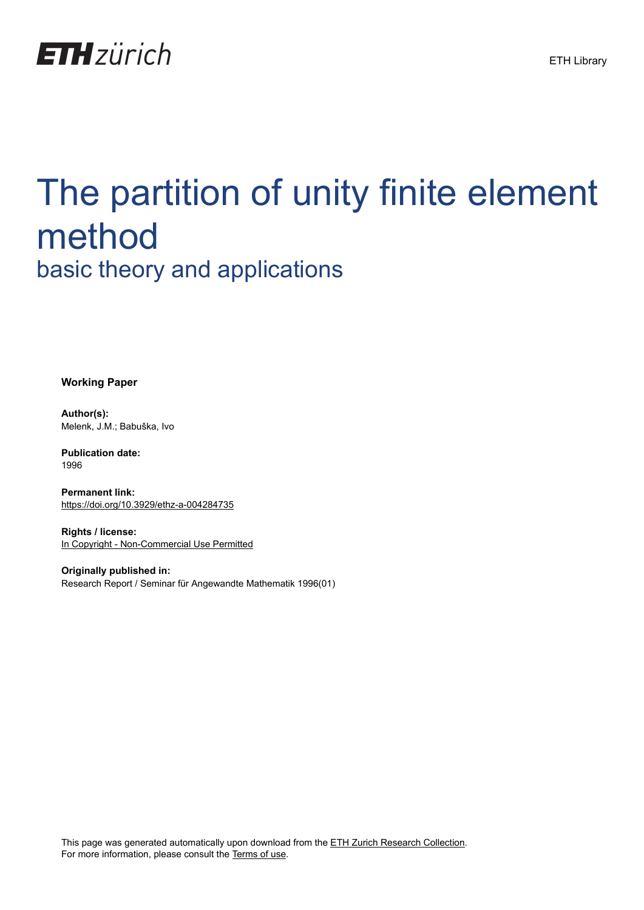

# The partition of unity finite element method basic theory and applications

**Working Paper**

**Author(s):** Melenk, J.M.; Babuška, Ivo

**Publication date:** 1996

**Permanent link:** <https://doi.org/10.3929/ethz-a-004284735>

**Rights / license:** [In Copyright - Non-Commercial Use Permitted](http://rightsstatements.org/page/InC-NC/1.0/)

**Originally published in:** Research Report / Seminar für Angewandte Mathematik 1996(01)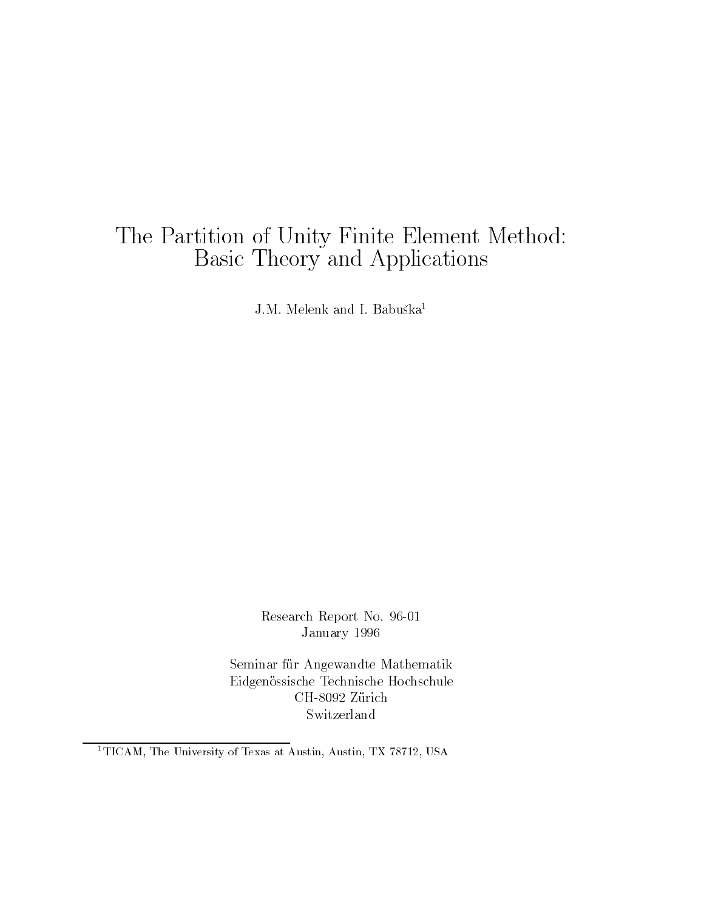## The Partition of Unity Finite Element Method Basic Theory and Applications

J.M. Melelik aliq I. Daduska<sup>-</sup>

Research Report No January

Seminar für Angewandte Mathematik Eidgenössische Technische Hochschule Switzerland

 $\lceil$  TICAM, the University of Texas at Austin, Austin, TA (0/12, USA)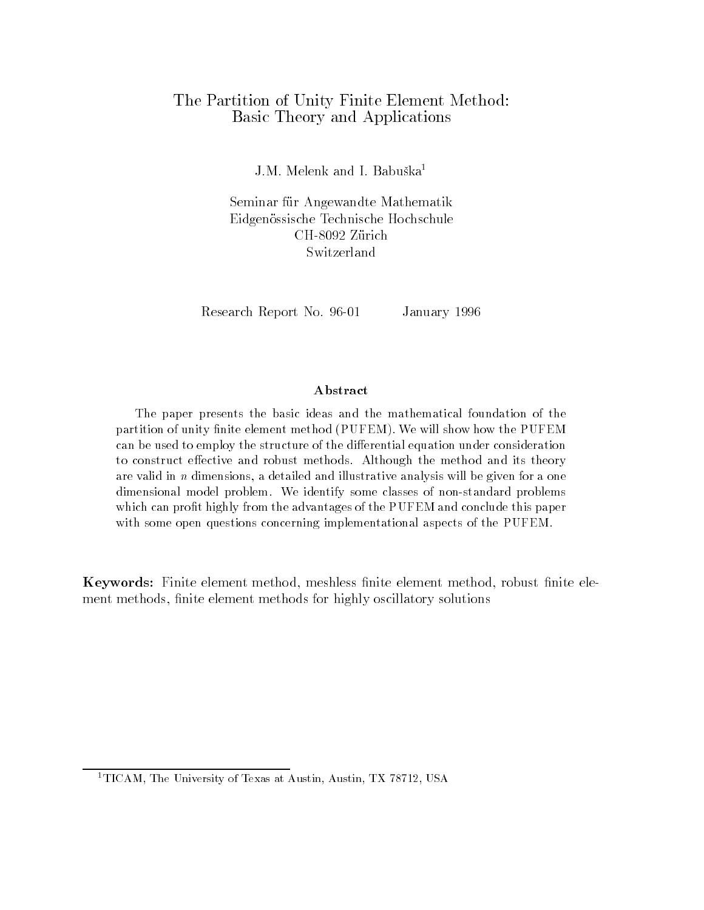## The Partition of Unity Finite Element Method Basic Theory and Applications

J.M. Melelik aliq I. Dabuska<sup>-</sup>

Seminar fur Angewandte Mathematik Eidgenossische Technische Hochschule Switzerland

Research Report No. 96-01 January 1996

## Abstract

The paper presents the basic ideas and the mathematical foundation of the partition of unity nite element method -PUFEM We will show how the PUFEM can be used to employ the structure of the differential equation under consideration to construct effective and robust methods. Although the method and its theory are valid in  $n$  dimensions, a detailed and illustrative analysis will be given for a one dimensional model problem. We identify some classes of non-standard problems which can profit highly from the advantages of the PUFEM and conclude this paper with some open questions concerning implementational aspects of the PUFEM.

**Keywords:** Finite element method, meshless finite element method, robust finite element methods, finite element methods for highly oscillatory solutions

 $\pm 11$ CAM, The University of Texas at Austin, Austin, TX (8/12, USA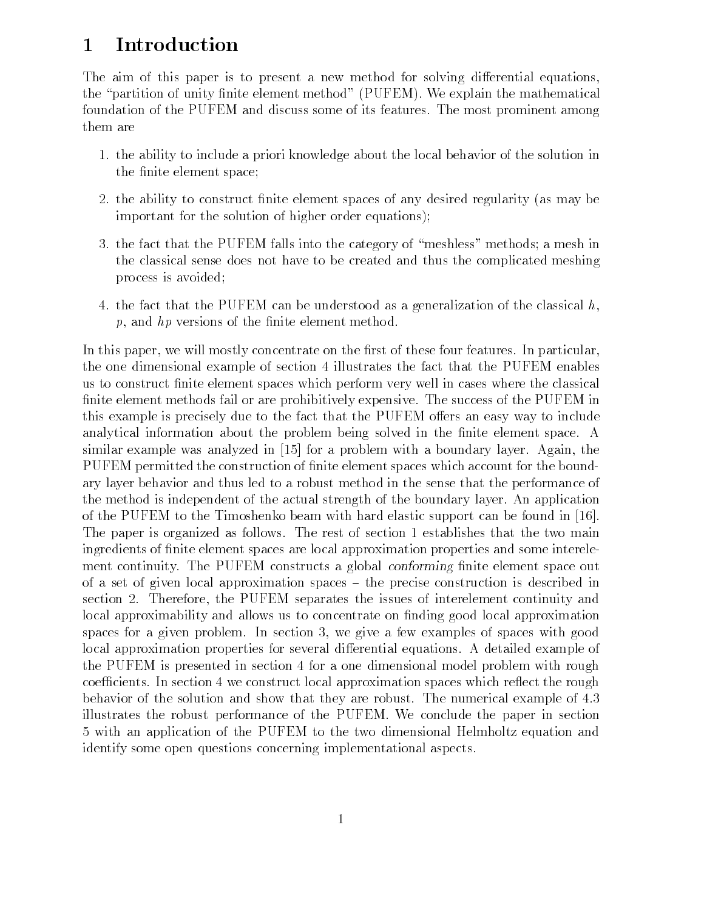## Introduction

The aim of this paper is to present a new method for solving differential equations. the "partition of unity finite element method" (PUFEM). We explain the mathematical foundation of the PUFEM and discuss some of its features. The most prominent among them are

- 1. the ability to include a priori knowledge about the local behavior of the solution in the finite element space;
- the ability to construct the ability to construct  $\mathbf{f}(\mathbf{A})$  and any desired regularity as may be a may be a important for the solution of higher order equations);
- 3. the fact that the PUFEM falls into the category of "meshless" methods; a mesh in the classical sense does not have to be created and thus the complicated meshing process is avoided
- 4. the fact that the PUFEM can be understood as a generalization of the classical  $h$ ,  $p$ , and  $hp$  versions of the finite element method.

In this paper, we will mostly concentrate on the first of these four features. In particular, the one dimensional example of section 4 illustrates the fact that the PUFEM enables us to construct nite element spaces which perform very well in cases where the classical finite element methods fail or are prohibitively expensive. The success of the PUFEM in this example is precisely due to the fact that the PUFEM offers an easy way to include analytical information about the problem being solved in the finite element space. A similar example was analyzed in  $[15]$  for a problem with a boundary layer. Again, the PUFEM permitted the construction of finite element spaces which account for the boundary layer behavior and thus led to a robust method in the sense that the performance of the method is independent of the actual strength of the boundary layer An application of the PUFEM to the Timoshenko beam with hard elastic support can be found in The paper is organized as follows. The rest of section 1 establishes that the two main ingredients of nite element spaces are local approximation properties and some interele ment continuity. The PUFEM constructs a global *conforming* finite element space out of a set of given local approximation spaces  $-$  the precise construction is described in section Therefore the PUFEM separates the issues of interelement continuity and local approximability and allows us to concentrate on finding good local approximation spaces for a given problem. In section 3, we give a few examples of spaces with good local approximation properties for several differential equations. A detailed example of the PUFEM is presented in section 4 for a one dimensional model problem with rough coefficients. In section 4 we construct local approximation spaces which reflect the rough behavior of the solution and show that they are robust. The numerical example of 4.3 illustrates the robust performance of the PUFEM We conclude the paper in section 5 with an application of the PUFEM to the two dimensional Helmholtz equation and identify some open questions concerning implementational aspects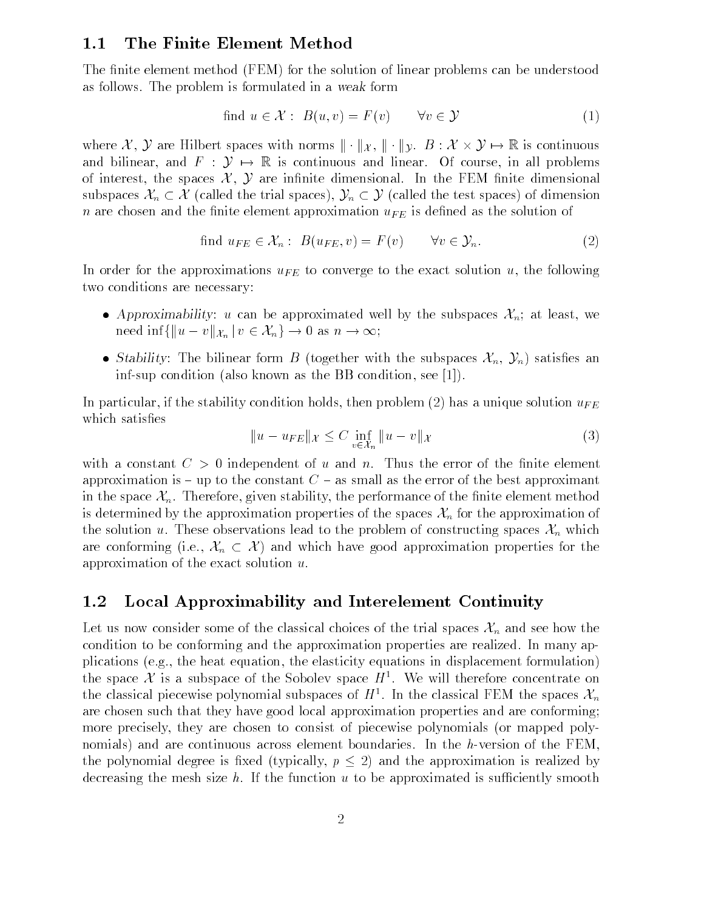### $1.1$ The Finite Element Method

The finite element method (FEM) for the solution of linear problems can be understood as follows The problem is follows The problem is formulated in a weak formulated in a weak formulated in a weak is formulated in a weak form<br>find  $u \in \mathcal{X}$ :  $B(u, v) = F(v)$   $\forall$  $\in \mathcal{Y}$  (1)

find 
$$
u \in \mathcal{X}
$$
:  $B(u, v) = F(v)$   $\forall v \in \mathcal{Y}$  (1)

where X, Y are Hilbert spaces with norms  $\|\cdot\|_X$ ,  $\|\cdot\|_y$ .  $B: X \times Y \mapsto \mathbb{R}$  is continuous and bilinear, and  $F : \mathcal{Y} \mapsto \mathbb{R}$  is continuous and linear. Of course, in all problems of interest, the spaces  $\mathcal{X}, \mathcal{Y}$  are infinite dimensional. In the FEM finite dimensional subspaces  $\mathcal{X}_n \subset \mathcal{X}$  (called the trial spaces),  $\mathcal{Y}_n \subset \mathcal{Y}$  (called the test spaces) of dimension  $\alpha$  are chosen and the inite element approximation u $\mu_B$  is defined as the solution of e finite element approximation  $u_{FE}$  is defined as<br>find  $u_{FE} \in \mathcal{X}_n$ :  $B(u_{FE}, v) = F(v)$   $\forall v \in \mathcal{Y}_n$ .

find 
$$
u_{FE} \in \mathcal{X}_n : B(u_{FE}, v) = F(v) \quad \forall v \in \mathcal{Y}_n.
$$
 (2)

In order for the approximations  $u_{FE}$  to converge to the exact solution u, the following two conditions are necessary

- Approximability: u can be approximated well by the subspaces  $\mathcal{X}_n$ ; at least, we Approximability: u can be approximated well<br>need inf{ $||u - v||_{\mathcal{X}_n}$  |  $v \in \mathcal{X}_n$  }  $\to 0$  as  $n \to \infty$ ;
- Stability: The bilinear form B (together with the subspaces  $\mathcal{X}_n, \mathcal{Y}_n$ ) satisfies an inf-sup condition (also known as the BB condition, see [1]).

In particular, if the stability condition holds then problem  $(\blacksquare)$  has a unique solution w $F$ which satisfies

$$
||u - u_{FE}||_{\mathcal{X}} \le C \inf_{v \in \mathcal{X}_n} ||u - v||_{\mathcal{X}}
$$
 (3)

with a constant  $C > 0$  independent of u and n. Thus the error of the finite element approximation is – up to the constant  $C$  – as small as the error of the best approximant in the space  $\mathcal{X}_n$ . Therefore, given stability, the performance of the finite element method is determined by the approximation properties of the spaces  $\mathcal{X}_n$  for the approximation of the solution u. These observations lead to the problem of constructing spaces  $\mathcal{X}_n$  which is determined by the approximation properties of the spaces  $\mathcal{X}_n$  for the approximation of<br>the solution u. These observations lead to the problem of constructing spaces  $\mathcal{X}_n$  which<br>are conforming (i.e.,  $\mathcal{X}_n \subset$ approximation of the exact solution  $u$ .

## $1.2$ Local Approximability and Interelement Continuity

Let us now consider some of the classical choices of the trial spaces  $\mathcal{X}_n$  and see how the condition to be conforming and the approximation properties are realized. In many applications (e.g., the heat equation, the elasticity equations in displacement formulation) the space X is a subspace of the Sobolev space  $H<sup>1</sup>$ . We will therefore concentrate on the classical piecewise polynomial subspaces of  $H^1$ . In the classical FEM the spaces  $\mathcal{X}_n$ are chosen such that they have good local approximation properties and are conforming more precisely, they are chosen to consist of piecewise polynomials (or mapped polynomials) and are continuous across element boundaries. In the h-version of the FEM, the polynomial degree is fixed (typically,  $p \leq 2$ ) and the approximation is realized by decreasing the mesh size h. If the function  $u$  to be approximated is sufficiently smooth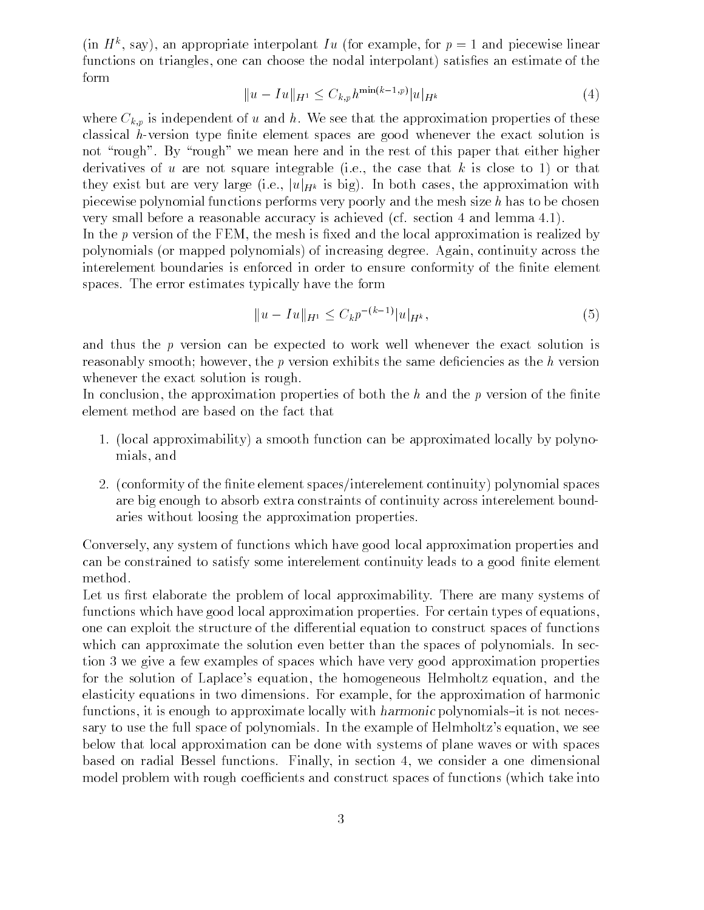(in  $\pi$ ), say), an appropriate interpolant Iu (for example, for  $p = 1$  and piecewise iniear functions on triangles, one can choose the nodal interpolant) satisfies an estimate of the form

$$
||u - Iu||_{H^1} \le C_{k,p} h^{\min(k-1,p)} |u|_{H^k}
$$
\n(4)

where  $C_{k,p}$  is independent of u and h. We see that the approximation properties of these classical  $h$ -version type finite element spaces are good whenever the exact solution is not "rough". By "rough" we mean here and in the rest of this paper that either higher derivatives of u are not square integrable (i.e., the case that k is close to 1) or that they exist but are very large (i.e.,  $|u|_{H^k}$  is big). In both cases, the approximation with piecewise polynomial functions performs very poorly and the mesh size  $h$  has to be chosen very small before a reasonable accuracy is achieved (cf. section  $4$  and lemma  $4.1$ ).

In the  $p$  version of the FEM, the mesh is fixed and the local approximation is realized by polynomials or mapped polynomials of increasing degree Again continuity across the interelement boundaries is enforced in order to ensure conformity of the finite element spaces. The error estimates typically have the form

$$
||u - Iu||_{H^1} \le C_k p^{-(k-1)} |u|_{H^k}, \tag{5}
$$

and thus the  $p$  version can be expected to work well whenever the exact solution is reasonably smooth; however, the  $p$  version exhibits the same deficiencies as the  $h$  version whenever the exact solution is rough.

In conclusion, the approximation properties of both the  $h$  and the p version of the finite element method are based on the fact that

- 1. (local approximability) a smooth function can be approximated locally by polynomials and
- conformity of the nite element spacesinterelement continuity polynomial spaces are big enough to absorb extra constraints of continuity across interelement bound aries without loosing the approximation properties

Conversely any system of functions which have good local approximation properties and can be constrained to satisfy some interelement continuity leads to a good finite element method

Let us first elaborate the problem of local approximability. There are many systems of functions which have good local approximation properties. For certain types of equations, one can exploit the structure of the di
erential equation to construct spaces of functions which can approximate the solution even better than the spaces of polynomials. In section 3 we give a few examples of spaces which have very good approximation properties for the solution of Laplace's equation, the homogeneous Helmholtz equation, and the elasticity equations in two dimensions For example for the approximation of harmonic functions, it is enough to approximate locally with *harmonic* polynomials-it is not necessary to use the full space of polynomials. In the example of Helmholtz's equation, we see below that local approximation can be done with systems of plane waves or with spaces based on radial Bessel functions. Finally, in section 4, we consider a one dimensional model problem with rough coefficients and construct spaces of functions (which take into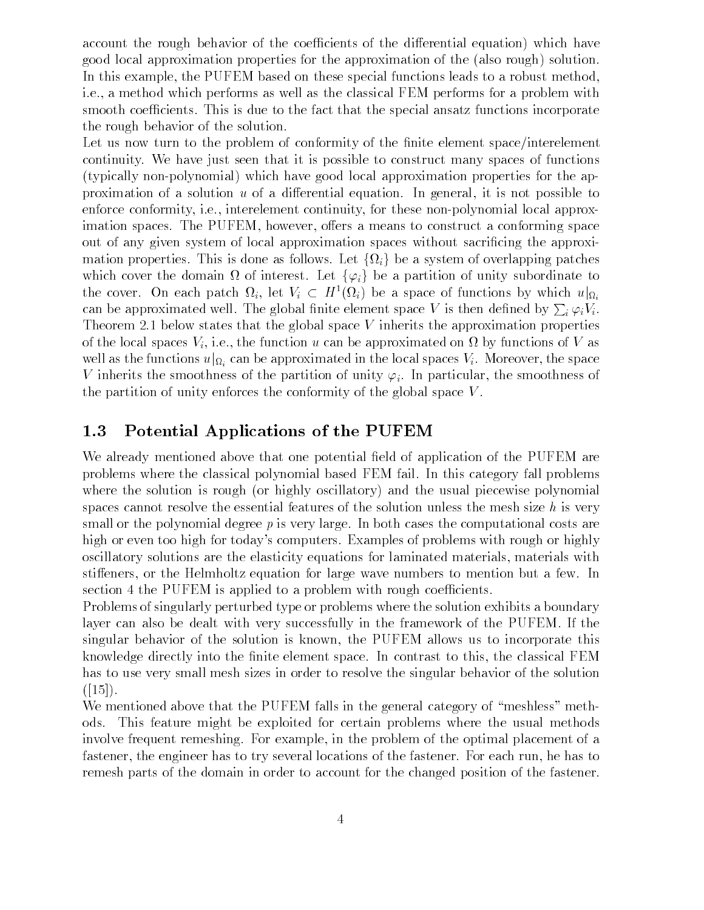account the rough behavior of the coefficients of the differential equation) which have good local approximation properties for the approximation of the (also rough) solution. In this example, the PUFEM based on these special functions leads to a robust method, i.e., a method which performs as well as the classical FEM performs for a problem with smooth coefficients. This is due to the fact that the special ansatz functions incorporate the rough behavior of the solution

Let us now turn to the problem of conformity of the finite element space/interelement continuity We have just seen that it is possible to construct many spaces of functions (typically non-polynomial) which have good local approximation properties for the approximation of a solution  $u$  of a differential equation. In general, it is not possible to enforce conformity, i.e., interelement continuity, for these non-polynomial local approximation spaces. The PUFEM, however, offers a means to construct a conforming space out of any given system of local approximation spaces without sacricing the approxi mation properties. This is done as follows. Let  $\{\Omega_i\}$  be a system of overlapping patches which cover the domain  $\Omega$  of interest. Let  $\{\varphi_i\}$  be a partition of unity subordinate to the cover. On each patch  $\Omega_i$ , let  $V_i \subset H^1(\Omega_i)$  be a space of functions by which  $u|_{\Omega_i}$ can be approximated well. The global finite element space V is then defined by  $\sum_i \varphi_i V_i$ . the states the state the global space views that the approximation into the properties below the approximation of the local spaces  $V_i$ , i.e., the function u can be approximated on  $\Omega$  by functions of V as well as the functions  $u|_{\Omega_i}$  can be approximated in the local spaces  $V_i$ . Moreover, the space V inherits the smoothness of the partition of unity i In particular the smoothness of the partition of unity enforces the conformity of the global space  $V$ .

## 1.3 Potential Applications of the PUFEM

We already mentioned above that one potential field of application of the PUFEM are problems where the classical polynomial based FEM fail In this category fall problems where the solution is rough (or highly oscillatory) and the usual piecewise polynomial spaces cannot resolve the essential features of the solution unless the mesh size  $h$  is very small or the polynomial degree  $p$  is very large. In both cases the computational costs are high or even too high for today's computers. Examples of problems with rough or highly oscillatory solutions are the elasticity equations for laminated materials materials with stiffeners, or the Helmholtz equation for large wave numbers to mention but a few. In section 4 the PUFEM is applied to a problem with rough coefficients.

Problems of singularly perturbed type or problems where the solution exhibits a boundary layer can also be dealt with very successfully in the framework of the PUFEM If the singular behavior of the solution is known, the PUFEM allows us to incorporate this knowledge directly into the finite element space. In contrast to this, the classical FEM has to use very small mesh sizes in order to resolve the singular behavior of the solution  $([15])$ .

We mentioned above that the PUFEM falls in the general category of "meshless" methods This feature might be exploited for certain problems where the usual methods involve frequent remeshing. For example, in the problem of the optimal placement of a fastener, the engineer has to try several locations of the fastener. For each run, he has to remesh parts of the domain in order to account for the changed position of the fastener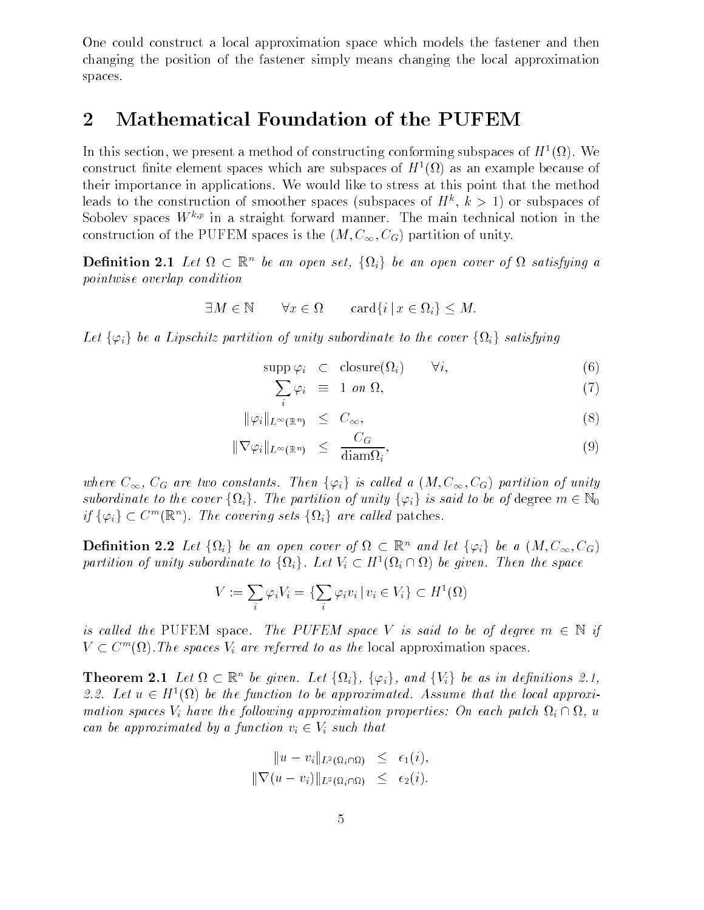One could construct a local approximation space which models the fastener and then changing the position of the fastener simply means changing the local approximation spaces

## $\overline{2}$ Mathematical Foundation of the PUFEM

In this section, we present a method of constructing conforming subspaces of  $H^1(\Omega)$ . We construct finite element spaces which are subspaces of  $H^1(\Omega)$  as an example because of their importance in applications We would like to stress at this point that the method leads to the construction of smoother spaces (subspaces of  $H^k$ ,  $k \geq 1$ ) or subspaces of Sobolev spaces  $W^{k,p}$  in a straight forward manner. The main technical notion in the construction of the PUFEM spaces is the  $(M, C_{\infty}, C_G)$  partition of unity.

**Definition 2.1** Let  $\Omega \subset \mathbb{R}^n$  be an open set,  $\{\Omega_i\}$  be an open cover of  $\Omega$  satisfying a pointwise overlap condition  $\in \Omega$   $\text{card}\{i \mid x \in \Omega_i\} \leq M.$ 

$$
\exists M \in \mathbb{N} \qquad \forall x \in \Omega \qquad \text{card}\{i \mid x \in \Omega_i\} \leq M.
$$

Let  $\{\varphi_i\}$  be a Lipschitz partition of unity subordinate to the cover  $\{\Omega_i\}$  satisfying

$$
supp \varphi_i \quad \subset \quad closure(\Omega_i) \qquad \forall i,
$$
\n
$$
(6)
$$

$$
\sum_{i} \varphi_i \equiv 1 \text{ on } \Omega,\tag{7}
$$

$$
\|\varphi_i\|_{L^{\infty}(\mathbb{R}^n)} \leq C_{\infty}, \tag{8}
$$

$$
\|\nabla \varphi_i\|_{L^{\infty}(\mathbb{R}^n)} \leq \frac{C_G}{\text{diam}\Omega_i},\tag{9}
$$

where  $C_{\infty}$ ,  $C_G$  are two constants. Then  $\{\varphi_i\}$  is called a  $(M, C_{\infty}, C_G)$  partition of unity subordinate to the cover  $\{\Omega_i\}$ . The partition of unity  $\{\varphi_i\}$  is said to be of degree  $m \in \mathbb{N}_0$ where  $C_{\infty}$ ,  $C_G$  are two constants. Then  $\{\varphi_i\}$  is called a  $(M,$ <br>subordinate to the cover  $\{\Omega_i\}$ . The partition of unity  $\{\varphi_i\}$  is s<br>if  $\{\varphi_i\} \subset C^m(\mathbb{R}^n)$ . The covering sets  $\{\Omega_i\}$  are called patches.

**Definition 2.2** Let  $\{\Omega_i\}$  be an open cover of  $\Omega \subset \mathbb{R}^n$  and let  $\{\varphi_i\}$  be a  $(M, C_{\infty}, C_G)$ partition of unity subordinate to  $\{\Omega_i\}$ . Let  $V_i \subset H^1(\Omega_i \cap \Omega)$  be given. Then the space  $V_i \subset H^1(\Omega_i \cap \Omega)$  be given<br> $\varphi_i v_i \, | \, v_i \in V_i \} \subset H^1(\Omega)$ 

$$
V := \sum_{i} \varphi_i V_i = \{ \sum_{i} \varphi_i v_i \, | \, v_i \in V_i \} \subset H^1(\Omega)
$$

is called the PUFEM space. The PUFEM space V is said to be of degree  $m \in \mathbb{N}$  if  $V \subset C<sup>m</sup>(\Omega)$ . The spaces  $V_i$  are referred to as the local approximation spaces.

**Theorem 2.1** Let  $\Omega \subset \mathbb{R}^n$  be given. Let  $\{\Omega_i\}$ ,  $\{\varphi_i\}$ , and  $\{V_i\}$  be as in definitions 2.1, 2.2. Let  $u \in H^1(\Omega)$  be the function to be approximated. Assume that the local approximation spaces  $V_i$  have the following approximation properties: On each patch  $\Omega_i \cap \Omega$ , u can be approximated by a function  $v_i \in V_i$  such that

$$
||u - v_i||_{L^2(\Omega_i \cap \Omega)} \leq \epsilon_1(i),
$$
  

$$
||\nabla (u - v_i)||_{L^2(\Omega_i \cap \Omega)} \leq \epsilon_2(i).
$$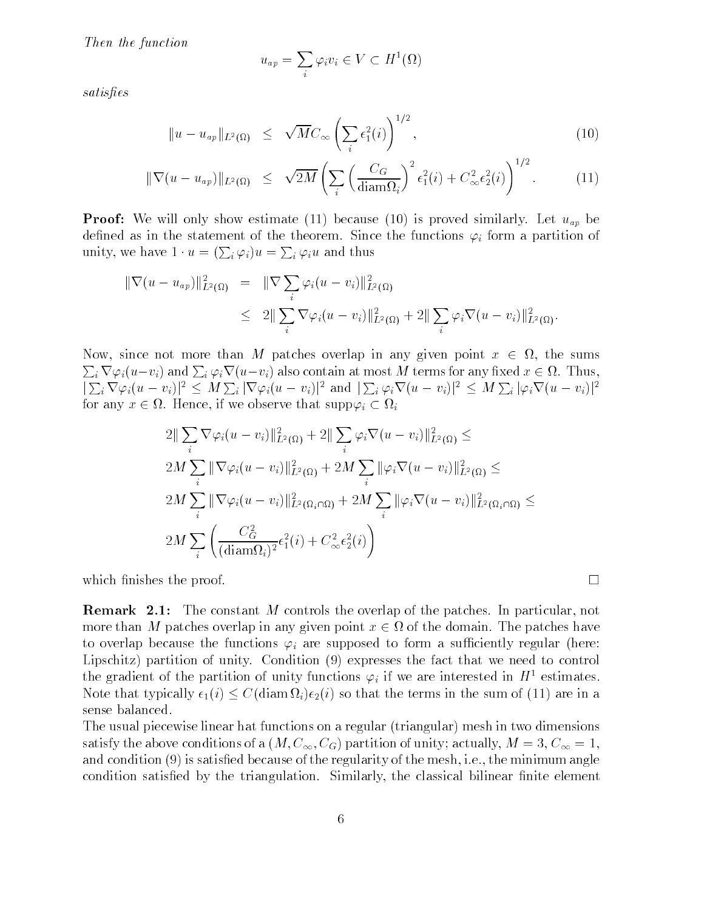Then the function

$$
u_{ap} = \sum_{i} \varphi_i v_i \in V \subset H^1(\Omega)
$$

satisfies

$$
||u - u_{ap}||_{L^2(\Omega)} \leq \sqrt{M}C_{\infty} \left(\sum_i \epsilon_1^2(i)\right)^{1/2}, \qquad (10)
$$

$$
\|\nabla(u - u_{ap})\|_{L^2(\Omega)} \leq \sqrt{2M} \left( \sum_i \left( \frac{C_G}{\text{diam}\Omega_i} \right)^2 \epsilon_1^2(i) + C_\infty^2 \epsilon_2^2(i) \right)^{1/2}.
$$
 (11)

**Proof:** We will only show estimate (11) because (10) is proved similarly. Let  $u_{ap}$  be defined as in the statement of the theorem. Since the functions  $\varphi_i$  form a partition of unity, we have  $1 \cdot u = (\sum_i \varphi_i)u = \sum_i \varphi_i u$  and thus

$$
\begin{array}{rcl} \|\nabla(u-u_{ap})\|_{L^2(\Omega)}^2 &=& \|\nabla\sum_i\varphi_i(u-v_i)\|_{L^2(\Omega)}^2\\ &\leq & 2\|\sum_i\nabla\varphi_i(u-v_i)\|_{L^2(\Omega)}^2 + 2\|\sum_i\varphi_i\nabla(u-v_i)\|_{L^2(\Omega)}^2. \end{array}
$$

Now, since not more than M patches overlap in any given point  $x \in \Omega$ , the sums  $\sum_i \nabla \varphi_i(u-v_i)$  and  $\sum_i \varphi_i \nabla (u-v_i)$  also contain at most  $M$  terms for any fixed  $x\in \Omega$ . Thus,  $|\sum_i \nabla \varphi_i(u-v_i)|^2 \leq M \sum_i |\nabla \varphi_i(u-v_i)|^2$  and  $|\sum_i \varphi_i \nabla (u-v_i)|^2 \leq M \sum_i |\varphi_i \nabla (u-v_i)|^2$ for any  $x \in \Omega$ . Hence, if we observe that  $\text{supp}\varphi_i \subset \Omega_i$ 

$$
2\|\sum_{i}\nabla\varphi_{i}(u-v_{i})\|_{L^{2}(\Omega)}^{2} + 2\|\sum_{i}\varphi_{i}\nabla(u-v_{i})\|_{L^{2}(\Omega)}^{2} \le
$$
  
\n
$$
2M\sum_{i}\|\nabla\varphi_{i}(u-v_{i})\|_{L^{2}(\Omega)}^{2} + 2M\sum_{i}\|\varphi_{i}\nabla(u-v_{i})\|_{L^{2}(\Omega)}^{2} \le
$$
  
\n
$$
2M\sum_{i}\|\nabla\varphi_{i}(u-v_{i})\|_{L^{2}(\Omega_{i}\cap\Omega)}^{2} + 2M\sum_{i}\|\varphi_{i}\nabla(u-v_{i})\|_{L^{2}(\Omega_{i}\cap\Omega)}^{2} \le
$$
  
\n
$$
2M\sum_{i}\left(\frac{C_{G}^{2}}{(\text{diam}\Omega_{i})^{2}}\epsilon_{1}^{2}(i) + C_{\infty}^{2}\epsilon_{2}^{2}(i)\right)
$$

which finishes the proof.  $\Box$ 

**Remark 2.1:** The constant M controls the overlap of the patches. In particular, not more than M patches overlap in any given point  $x \in \Omega$  of the domain. The patches have to overlap because the functions  $\varphi_i$  are supposed to form a sufficiently regular (here: Lipschitz) partition of unity. Condition  $(9)$  expresses the fact that we need to control the gradient of the partition of unity functions  $\varphi_i$  if we are interested in  $H^1$  estimates. Note that typically  $\epsilon_1(i) \leq C(\text{diam } \Omega_i)\epsilon_2(i)$  so that the terms in the sum of (11) are in a sense balanced

The usual piecewise linear hat functions on a regular (triangular) mesh in two dimensions satisfy the above conditions of a  $(M, C_{\infty}, C_G)$  partition of unity; actually,  $M = 3, C_{\infty} = 1$ , and condition  $(9)$  is satisfied because of the regularity of the mesh, i.e., the minimum angle condition satisfied by the triangulation. Similarly, the classical bilinear finite element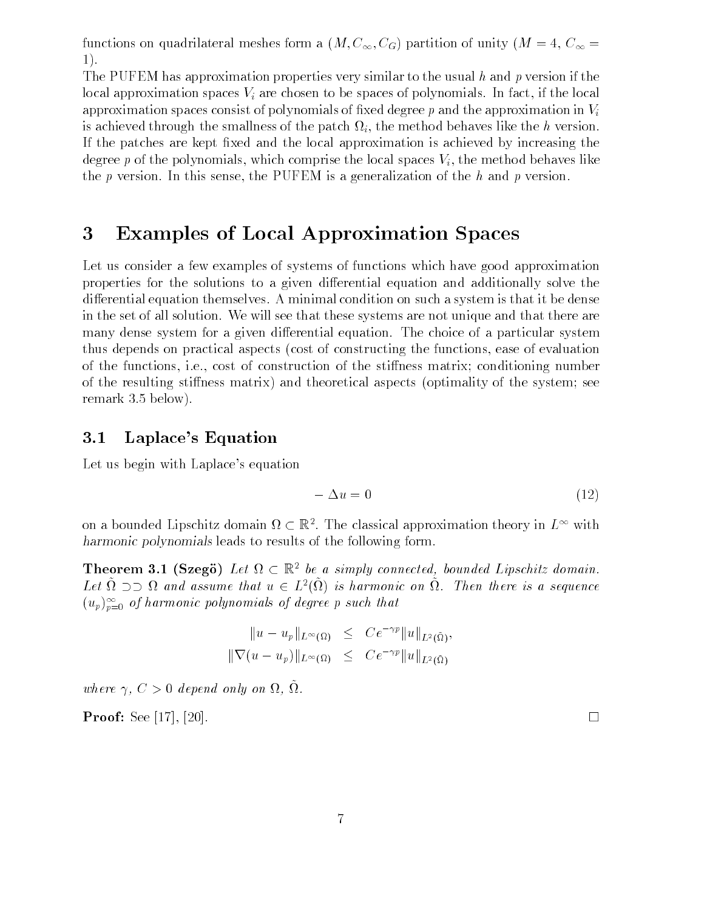functions on quadrilateral meshes form a  $(M, C_{\infty}, C_G)$  partition of unity  $(M = 4, C_{\infty} =$  $1$ .

The PUFEM has approximation properties very similar to the usual h and p version if the local approximation spaces  $V_i$  are chosen to be spaces of polynomials. In fact, if the local approximation spaces consist of polynomials of fixed degree p and the approximation in  $V_i$ is achieved through the smallness of the patch  $\Omega_i$ , the method behaves like the h version. If the patches are kept fixed and the local approximation is achieved by increasing the degree p of the polynomials, which comprise the local spaces  $V_i$ , the method behaves like the p version. In this sense, the PUFEM is a generalization of the  $h$  and p version.

## Examples of Local Approximation Spaces

Let us consider a few examples of systems of functions which have good approximation properties for the solutions to a given differential equation and additionally solve the differential equation themselves. A minimal condition on such a system is that it be dense in the set of all solution. We will see that these systems are not unique and that there are many dense system for a given differential equation. The choice of a particular system thus depends on practical aspects (cost of constructing the functions, ease of evaluation of the functions, i.e., cost of construction of the stiffness matrix; conditioning number of the resulting stiffness matrix) and theoretical aspects (optimality of the system; see remark  $3.5$  below).

## 3.1 Laplace's Equation

Let us begin with Laplace's equation

$$
-\Delta u = 0 \tag{12}
$$

on a bounded Lipschitz domain  $\Omega \subset \mathbb{R}^2$ . The classical approximation theory in  $L^{\infty}$  with harmonic polynomials leads to results of the following form.

**Theorem 3.1 (Szegö)** Let  $\Omega \subset \mathbb{R}^2$  be a simply connected, bounded Lipschitz domain. Let  $\Omega \supset \supset \Omega$  and assume that  $u \in L^2(\Omega)$  is harmonic on  $\Omega$ . Then there is a sequence  $(u_p)_{p=0}^-$  of narmonic polynomials of degree p such that

$$
||u - u_p||_{L^{\infty}(\Omega)} \leq C e^{-\gamma p} ||u||_{L^2(\tilde{\Omega})},
$$
  

$$
||\nabla (u - u_p)||_{L^{\infty}(\Omega)} \leq C e^{-\gamma p} ||u||_{L^2(\tilde{\Omega})}
$$

where  $\gamma$ ,  $\cup$   $\geq$  0 acpend only on st, st.

**Proof:** See [17], [20].  $\sim$  1. The set of the set of the set of the set of the set of the set of the set of the set of the set of the set of the set of the set of the set of the set of the set of the set of the set of the set of the set of the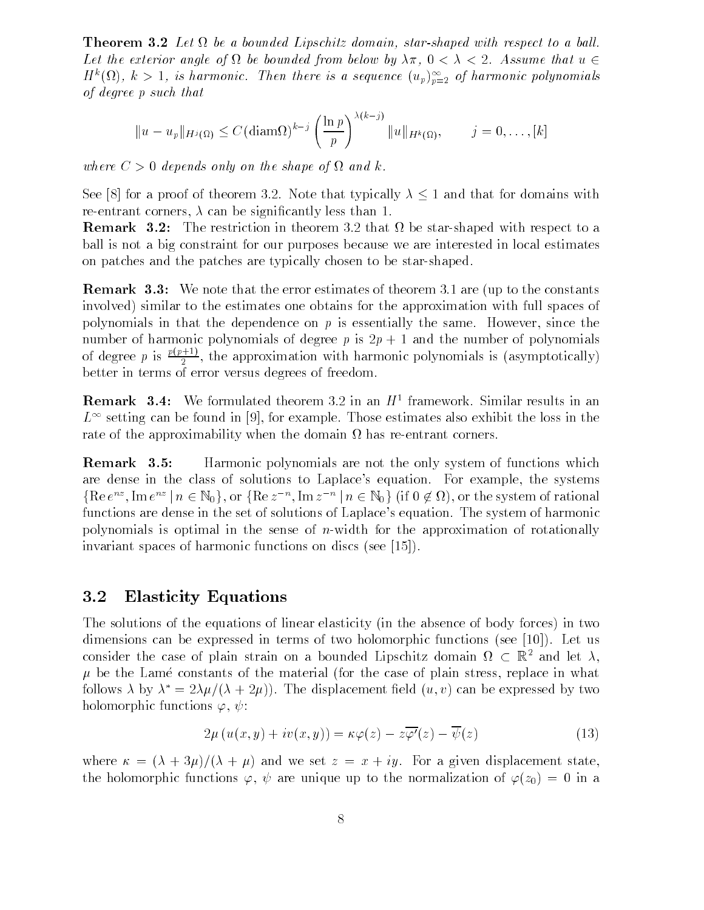**Theorem 3.2** Let  $\Omega$  be a bounded Lipschitz domain, star-shaped with respect to a ball. Let the exterior angle of  $\Omega$  be bounded from below by  $\lambda \pi$ ,  $0 < \lambda < 2$ . Assume that  $u \in$  $H^u(M)$ ,  $\kappa > 1$ , is harmonic. Then there is a sequence  $\left(u_p\right)_{p=2}^{\infty}$  of harmonic polynomials of degree <sup>p</sup> such that

$$
||u - u_p||_{H^j(\Omega)} \leq C(\text{diam}\Omega)^{k-j} \left(\frac{\ln p}{p}\right)^{\lambda(k-j)} ||u||_{H^k(\Omega)}, \qquad j = 0, \ldots, [k]
$$

where  $C > 0$  depends only on the shape of  $\Omega$  and k.

See [8] for a proof of theorem 3.2. Note that typically  $\lambda \leq 1$  and that for domains with re-entrant corners,  $\lambda$  can be significantly less than 1.

Remark The restriction in theorem that be starshaped with respect to a ball is not a big constraint for our purposes because we are interested in local estimates on patches and the patches are typically chosen to be star-shaped.

**Remark 3.3:** We note that the error estimates of theorem 3.1 are (up to the constants involved) similar to the estimates one obtains for the approximation with full spaces of polynomials in that the dependence on  $p$  is essentially the same. However, since the number of harmonic balmonices at waxer b is the number of the number of balmonical of degree p is  $\frac{P(P_1, p_2)}{2}$ , 1  $t_1$ , the approximation with mixture  $\mathbf{r}_1$  ,  $\mathbf{r}_2$  is assumed in  $(\mathbf{r}_1, \mathbf{r}_2, \mathbf{r}_1, \mathbf{r}_2, \mathbf{r}_2, \mathbf{r}_2, \mathbf{r}_1, \mathbf{r}_2, \mathbf{r}_2, \mathbf{r}_2, \mathbf{r}_1, \mathbf{r}_2, \mathbf{r}_2, \mathbf{r}_2, \mathbf{r}_1, \mathbf{r}_2, \mathbf{r}_2, \mathbf{r}_2, \math$ better in terms of error versus degrees of freedom

**Remark 3.4:** We formulated theorem 3.2 in an  $H^+$  framework. Similar results in an  $L^{\infty}$  setting can be found in [9], for example. Those estimates also exhibit the loss in the rate of the approximability when the domain  $\Omega$  has re-entrant corners.

Remark 3.5: Harmonic polynomials are not the only system of functions which are dense in the class of solutions to Laplace's equation. For example, the systems  $\{ \text{Re } e^{nz}, \text{Im } e^{nz} \mid n \in \mathbb{N}_0 \}, \text{or } \{ \text{Re } z^{-n}, \text{Im } z^{-n} \mid n \in \mathbb{N}_0 \}$  (if  $0 \notin \Omega$ ), or the system of rational functions are dense in the set of solutions of Laplace's equation. The system of harmonic polynomials is optimal in the sense of *n*-width for the approximation of rotationally invariant spaces of harmonic functions on discs (see  $[15]$ ).

### 3.2 Elasticity Equations

The solutions of the equations of linear elasticity (in the absence of body forces) in two dimensions can be expressed in terms of two holomorphic functions (see  $[10]$ ). Let us consider the case of plain strain on a bounded Lipschitz domain  $\Omega \subset \mathbb{R}^2$  and let  $\lambda$ , be the Lambert constants of the material for the case of provint stress from the whole follows  $\lambda$  by  $\lambda$  =  $2\lambda\mu$ /( $\lambda + 2\mu$ )). The displacement field ( $u, v$ ) can be expressed by two holomorphic functions  $\varphi, \psi$ :

$$
2\mu(u(x,y) + iv(x,y)) = \kappa \varphi(z) - z\overline{\varphi'(z)} - \overline{\psi(z)}
$$
(13)

where  $\alpha$  is the state  $\alpha$  summer and  $\alpha$  is  $\alpha$  is  $\alpha$  in  $\alpha$  and  $\alpha$  and  $\alpha$  is the state state  $\alpha$ the holomorphic functions  $\varphi, \psi$  are unique up to the normalization of  $\varphi(z_0) = 0$  in a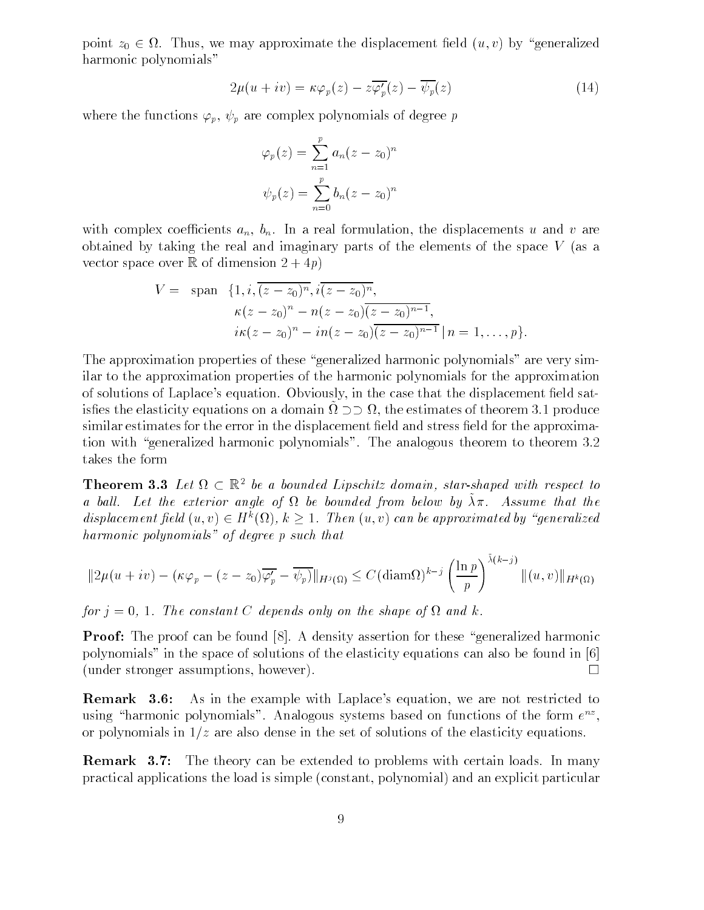point  $z_0 \in \Omega$ . Thus, we may approximate the displacement field  $(u, v)$  by "generalized harmonic polynomials"

$$
2\mu(u + iv) = \kappa \varphi_p(z) - z\overline{\varphi_p'}(z) - \overline{\psi_p}(z)
$$
\n(14)

where the functions  $\varphi_p$ ,  $\psi_p$  are complex polynomials of degree p

$$
\varphi_p(z) = \sum_{n=1}^p a_n (z - z_0)^n
$$

$$
\psi_p(z) = \sum_{n=0}^p b_n (z - z_0)^n
$$

with complex coefficients  $a_n$ ,  $b_n$ . In a real formulation, the displacements u and v are obtained by taking the real and imaginary parts of the elements of the space  $V$  (as a vector space over <sup>R</sup> of dimension ! p

$$
V = \text{span} \{1, i, \overline{(z-z_0)^n}, i\overline{(z-z_0)^n},
$$
  

$$
\kappa(z-z_0)^n - n(z-z_0)\overline{(z-z_0)^{n-1}},
$$
  

$$
i\kappa(z-z_0)^n - in(z-z_0)\overline{(z-z_0)^{n-1}} \mid n = 1, ..., p\}.
$$

The approximation properties of these "generalized harmonic polynomials" are very similar to the approximation properties of the harmonic polynomials for the approximation of solutions of Laplace's equation. Obviously, in the case that the displacement field satisfies the elasticity equations on a domain  $\Omega \supset \supset \Omega$ , the estimates of theorem 3.1 produce similar estimates for the error in the displacement field and stress field for the approximation with "generalized harmonic polynomials". The analogous theorem to theorem 3.2 takes the form

**Theorem 3.3** Let  $\Omega \subset \mathbb{R}^2$  be a bounded Lipschitz domain, star-shaped with respect to a ban. Let the exterior angle of it be bounded from below by An. Assume that the displacement field  $(u, v) \in H^k(\Omega)$ ,  $k \geq 1$ . Then  $(u, v)$  can be approximated by "generalized harmonic polynomials" of degree p such that

$$
||2\mu(u+iv) - (\kappa \varphi_p - (z-z_0)\overline{\varphi'_p} - \overline{\psi_p})||_{H^j(\Omega)} \le C(\text{diam}\Omega)^{k-j} \left(\frac{\ln p}{p}\right)^{\tilde{\lambda}(k-j)} \|(u,v)\|_{H^k(\Omega)}
$$

for for a constant C depends only on the shape of an direct in

**Proof:** The proof can be found  $\begin{bmatrix} 8 \end{bmatrix}$ . A density assertion for these "generalized harmonic polynomials" in the space of solutions of the elasticity equations can also be found in  $[6]$ (under stronger assumptions, however).  $\Box$ 

**Remark 3.6:** As in the example with Laplace's equation, we are not restricted to using harmonic polynomials. Analogous systems based on functions of the form  $e^{i\phi}$ , or polynomials in  $1/z$  are also dense in the set of solutions of the elasticity equations.

**Remark 3.7:** The theory can be extended to problems with certain loads. In many practical applications the load is simple constant polynomial and an explicit particular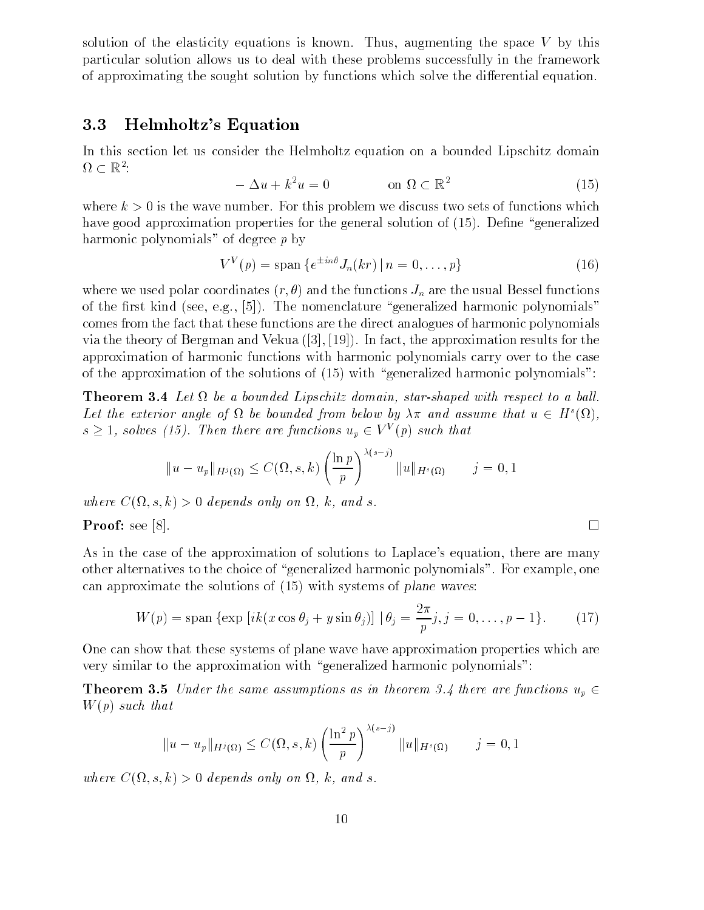solution of the elasticity equations is known. Thus, augmenting the space  $V$  by this particular solution allows us to deal with these problems successfully in the framework of approximating the sought solution by functions which solve the differential equation.

### 3.3 Helmholtz's Equation

In this section let us consider the Helmholtz equation on a bounded Lipschitz domain  $\Omega\subset\mathbb{R}^2$ :

$$
\Delta u + k^2 u = 0 \qquad \text{on } \Omega \subset \mathbb{R}^2 \tag{15}
$$

where  $k > 0$  is the wave number. For this problem we discuss two sets of functions which have good approximation properties for the general solution of  $(15)$ . Define "generalized" harmonic polynomials" of degree  $p$  by

$$
V^{V}(p) = \text{span}\left\{e^{\pm in\theta}J_{n}(kr) \mid n = 0,\ldots,p\right\} \tag{16}
$$

where we used polar coordinates  $(r, \theta)$  and the functions  $J_n$  are the usual Bessel functions of the first kind (see, e.g., [5]). The nomenclature "generalized harmonic polynomials" comes from the fact that these functions are the direct analogues of harmonic polynomials via the theory of Bergman and Vekua  $([3], [19])$ . In fact, the approximation results for the approximation of harmonic functions with harmonic polynomials carry over to the case of the approximation of the solutions of  $(15)$  with "generalized harmonic polynomials":

Theorem Let beabounded Lipschitz domain starshaped with respect to a bal l-Let the exterior angle of  $\Omega$  be bounded from below by  $\lambda \pi$  and assume that  $u \in H^s(\Omega)$ ,  $s \geq 1$ , solves (15). Then there are functions  $u_p \in V^V(p)$  such that

$$
||u - u_p||_{H^j(\Omega)} \le C(\Omega, s, k) \left(\frac{\ln p}{p}\right)^{\lambda(s-j)} ||u||_{H^s(\Omega)} \qquad j = 0, 1
$$

where  $C(\Omega, s, k) > 0$  depends only on  $\Omega$ , k, and s.

**Proof:** see [8].

As in the case of the approximation of solutions to Laplace's equation, there are many other alternatives to the choice of "generalized harmonic polynomials". For example, one can approximate the solutions of  $(15)$  with systems of plane waves:

$$
W(p) = \text{span}\left\{\exp\left[ik(x\cos\theta_j + y\sin\theta_j)\right] \,|\,\theta_j = \frac{2\pi}{p}j, j = 0, \ldots, p-1\right\}.\tag{17}
$$

One can show that these systems of plane wave have approximation properties which are very similar to the approximation with "generalized harmonic polynomials":

**Theorem 3.5** Under the same assumptions as in theorem 3.4 there are functions  $u_n \in$  $W(p)$  such that

$$
||u - u_p||_{H^j(\Omega)} \le C(\Omega, s, k) \left(\frac{\ln^2 p}{p}\right)^{\lambda(s-j)} ||u||_{H^s(\Omega)} \qquad j = 0, 1
$$

where  $C(\Omega, s, k) > 0$  depends only on  $\Omega$ , k, and s.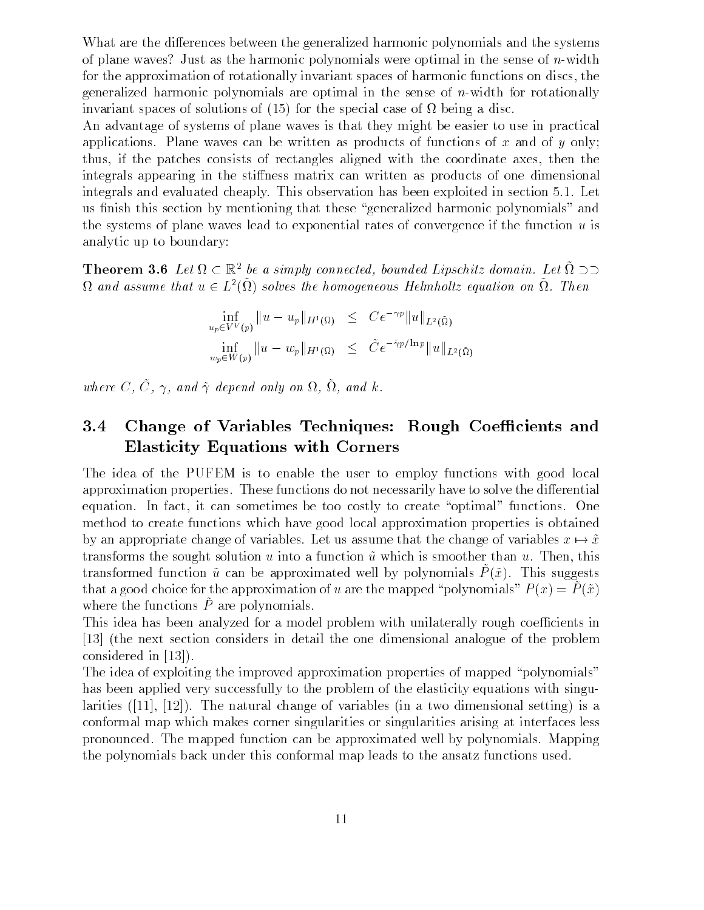What are the differences between the generalized harmonic polynomials and the systems of plane waves? Just as the harmonic polynomials were optimal in the sense of n-width for the approximation of rotationally invariant spaces of harmonic functions on discs the generalized harmonic polynomials are optimal in the sense of  $n$ -width for rotationally invariant spaces of solutions of  $(15)$  for the special case of  $\Omega$  being a disc.

An advantage of systems of plane waves is that they might be easier to use in practical applications. Plane waves can be written as products of functions of x and of  $\eta$  only: thus if the patches consists of rectangles aligned with the coordinate axes then the integrals appearing in the stiffness matrix can written as products of one dimensional integrals and evaluated cheaply. This observation has been exploited in section 5.1. Let us finish this section by mentioning that these "generalized harmonic polynomials" and the systems of plane waves lead to exponential rates of convergence if the function  $u$  is analytic up to boundary

**Theorem 3.6** Let  $\Omega \subset \mathbb{R}^2$  be a simply connected, bounded Lipschitz domain. Let  $\Omega \supset \supset$  $\Omega$  and assume that  $u \in L^2(\Omega)$  solves the homogeneous Helmholtz equation on  $\Omega$ . Then

$$
\inf_{u_p \in V^V(p)} \|u - u_p\|_{H^1(\Omega)} \leq C e^{-\gamma p} \|u\|_{L^2(\tilde{\Omega})}
$$
\n
$$
\inf_{w_p \in W(p)} \|u - w_p\|_{H^1(\Omega)} \leq \tilde{C} e^{-\tilde{\gamma}p/\ln p} \|u\|_{L^2(\tilde{\Omega})}
$$

where C,  $\tilde{C}$ ,  $\gamma$ , and  $\tilde{\gamma}$  depend only on  $\Omega$ ,  $\tilde{\Omega}$ , and k.

## 3.4 Change of Variables Techniques: Rough Coefficients and Elasticity Equations with Corners

The idea of the PUFEM is to enable the user to employ functions with good local approximation properties. These functions do not necessarily have to solve the differential equation. In fact, it can sometimes be too costly to create "optimal" functions. One method to create functions which have good local approximation properties is obtained by an appropriate change of variables. Let us assume that the change of variables  $x \mapsto \tilde{x}$ transforms the sought solution  $u$  into a function  $\tilde{u}$  which is smoother than  $u$ . Then, this  $\alpha$  definition and  $\alpha$  can be approximated well by polynomials  $P(x)$ . This suggests that a good choice for the approximation of u are the mapped "polynomials"  $P(x) = \tilde{P}(\tilde{x})$ where the functions  $\tilde{P}$  are polynomials.

This idea has been analyzed for a model problem with unilaterally rough coefficients in the next section considers in detail the one dimensional analogue of the problem considered in [13]).

The idea of exploiting the improved approximation properties of mapped "polynomials" has been applied very successfully to the problem of the elasticity equations with singu larities The natural change of variables in a two dimensional setting is a conformal map which makes corner singularities or singularities arising at interfaces less pronounced The mapped function can be approximated well by polynomials Mapping the polynomials back under this conformal map leads to the ansatz functions used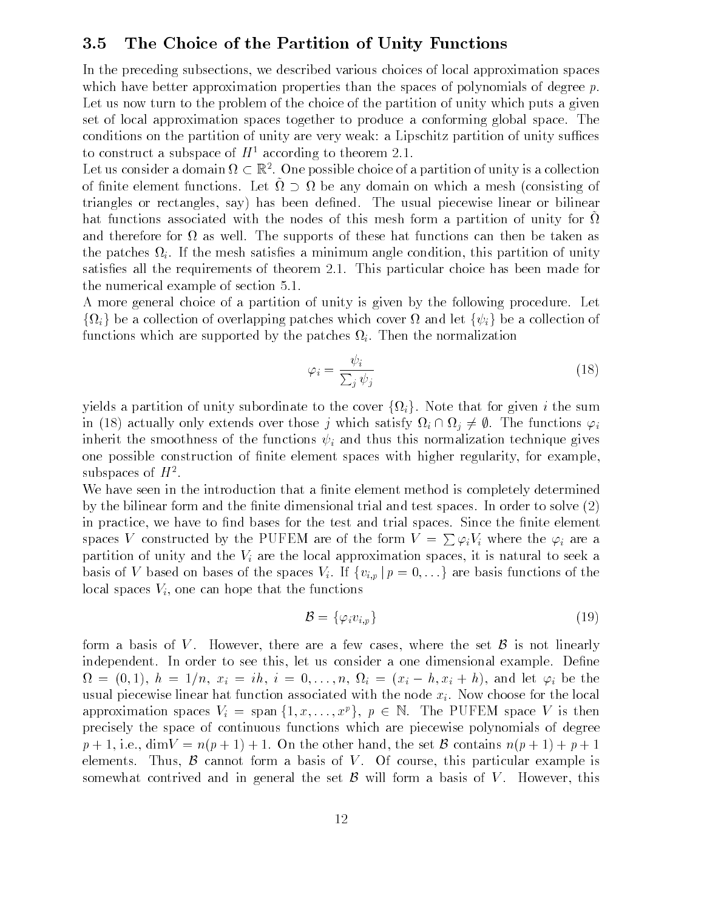### 3.5 The Choice of the Partition of Unity Functions

In the preceding subsections we described various choices of local approximation spaces which have better approximation properties than the spaces of polynomials of degree  $p$ . Let us now turn to the problem of the choice of the partition of unity which puts a given set of local approximation spaces together to produce a conforming global space The conditions on the partition of unity are very weak: a Lipschitz partition of unity suffices to construct a subspace of  $H^+$  according to theorem 2.1.

Let us consider a domain  $\Omega \subset \mathbb{R}^2$ . One possible choice of a partition of unity is a collection of finite element functions. Let  $\Omega \supset \Omega$  be any domain on which a mesh (consisting of triangles or rectangles, say) has been defined. The usual piecewise linear or bilinear hat functions associated with the nodes of this mesh form a partition of unity for  $\Omega$ and therefore for  $\Omega$  as well. The supports of these hat functions can then be taken as the patches  $\Omega_i$ . If the mesh satisfies a minimum angle condition, this partition of unity satisfied all the requirements of theorem first form particular choice has been made form of the numerical example of section

A more general choice of a partition of unity is given by the following procedure. Let  $\{\Omega_i\}$  be a collection of overlapping patches which cover  $\Omega$  and let  $\{\psi_i\}$  be a collection of functions which are supported by the patches  $\Omega_i$ . Then the normalization

$$
\varphi_i = \frac{\psi_i}{\sum_j \psi_j} \tag{18}
$$

yields a partition of unity subordinate to the cover  $\{\Omega_i\}$ . Note that for given i the sum in (18) actually only extends over those j which satisfy  $\Omega_i \cap \Omega_j \neq \emptyset$ . The functions  $\varphi_i$ inherit the smoothness of the functions  $\psi_i$  and thus this normalization technique gives one possible construction of finite element spaces with higher regularity, for example, subspaces of  $H^{\pm}$ .

We have seen in the introduction that a finite element method is completely determined by the bilinear form and the nite dimensional trial and test spaces In order to solve in practice, we have to find bases for the test and trial spaces. Since the finite element spaces V constructed by the PUFEM are of the form  $V = \sum \varphi_i V_i$  where the  $\varphi_i$  are a partition of unity and the  $V_i$  are the local approximation spaces, it is natural to seek a basis of V based on bases of the spaces  $V_i$ . If  $\{v_{i,p} | p = 0, \ldots$ glocal spaces  $V_i$ , one can hope that the functions

$$
\mathcal{B} = \{ \varphi_i v_{i,p} \} \tag{19}
$$

form a basis of V. However, there are a few cases, where the set  $\mathcal{B}$  is not linearly independent. In order to see this, let us consider a one dimensional example. Define  $\Omega = (0,1), h = 1/n, x_i = ih, i = 0, \ldots, n, \Omega_i = (x_i - h, x_i + h),$  and let  $\varphi_i$  be the usual piecewise linear hat function associated with the node  $x_i$ . Now choose for the local approximation spaces  $V_i = \text{span} \{1, x, \ldots, x^p\}, p \in \mathbb{N}$ . The PUFEM space V is then precisely the space of continuous functions which are piecewise polynomials of degree  $p + 1$ , i.e.,  $\dim V = n(p + 1) + 1$ . On the other hand, the set B contains  $n(p + 1) + p + 1$ elements. Thus,  $\beta$  cannot form a basis of V. Of course, this particular example is somewhat contrived and in general the set  $\mathcal{B}$  will form a basis of V. However, this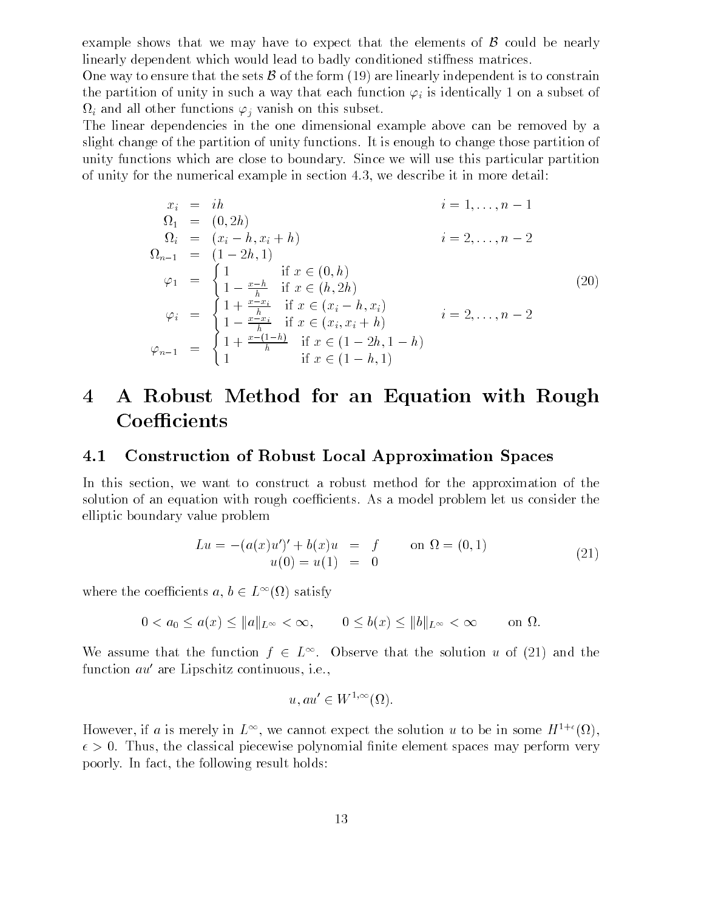example shows that we may have to expect that the elements of  $\beta$  could be nearly linearly dependent which would lead to badly conditioned stiffness matrices.

One way to ensure that the sets  $\beta$  of the form (19) are linearly independent is to constrain the partition of unity in such a way that each function  $\varphi_i$  is identically 1 on a subset of  $\Omega_i$  and all other functions  $\varphi_i$  vanish on this subset.

The linear dependencies in the one dimensional example above can be removed by a slight change of the partition of unity functions It is enough to change those partition of unity functions which are close to boundary Since we will use this particular partition of unity for the numerical example in section 4.3, we describe it in more detail:

$$
x_{i} = ih
$$
  
\n
$$
\Omega_{1} = (0, 2h)
$$
  
\n
$$
\Omega_{i} = (x_{i} - h, x_{i} + h)
$$
  
\n
$$
\Omega_{n-1} = (1 - 2h, 1)
$$
  
\n
$$
\varphi_{1} = \begin{cases}\n1 & \text{if } x \in (0, h) \\
1 - \frac{x - h}{h} & \text{if } x \in (h, 2h) \\
1 + \frac{x - x_{i}}{h} & \text{if } x \in (x_{i} - h, x_{i}) \\
1 - \frac{x - x_{i}}{h} & \text{if } x \in (x_{i}, x_{i} + h) \\
\varphi_{n-1} = \begin{cases}\n1 + \frac{x - x_{i}}{h} & \text{if } x \in (x_{i}, x_{i} + h) \\
1 + \frac{x - (1 - h)}{h} & \text{if } x \in (1 - 2h, 1 - h) \\
1 & \text{if } x \in (1 - h, 1)\n\end{cases}
$$
\n(20)

## A Robust Method for an Equation with Rough Coefficients

### $4.1$ Construction of Robust Local Approximation Spaces

In this section, we want to construct a robust method for the approximation of the solution of an equation with rough coefficients. As a model problem let us consider the elliptic boundary value problem

$$
Lu = -(a(x)u')' + b(x)u = f \t on \t \t \Omega = (0,1)
$$
  
 
$$
u(0) = u(1) = 0 \t (21)
$$

where the coefficients  $a, b \in L^{\infty}(\Omega)$  satisfy coefficients  $a, b \in L^{\infty}(\Omega)$  satisf<br>  $0 < a_0 \le a(x) \le ||a||_{L^{\infty}} < \infty$ ,

: coefficients 
$$
a, b \in L^{\infty}(\Omega)
$$
 satisfy  
\n $0 < a_0 \le a(x) \le ||a||_{L^{\infty}} < \infty$ ,  $0 \le b(x) \le ||b||_{L^{\infty}} < \infty$  on  $\Omega$ .

We assume that the function  $f \in L^{\infty}$ . Observe that the solution u of (21) and the function  $au'$  are Lipschitz continuous, i.e.,

$$
u, au' \in W^{1,\infty}(\Omega).
$$

However, if a is interely in  $L^{\infty}$ , we cannot expect the solution u to be in some  $H^{\infty}(\Omega)$ ,  $\tau > 0$ . Thus, the classical piecewise polynomial milite element spaces may perform very poorly. In fact, the following result holds: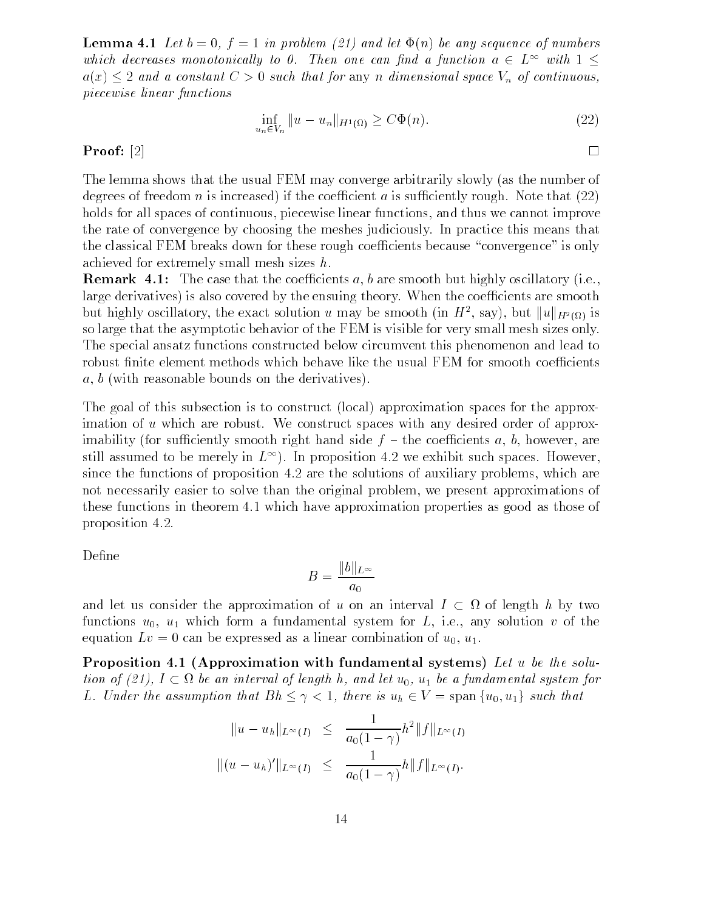Lemma Let <sup>b</sup> <sup>f</sup> in problem  and let &n be any sequence of numbers which decreases monotonically to 0. Then one can find a function  $a \in L^{\infty}$  with  $1 \leq$  $a(x) \leq 2$  and a constant  $C > 0$  such that for any n dimensional space  $V_n$  of continuous, piecewise linear functions

$$
\inf_{u_n \in V_n} \|u - u_n\|_{H^1(\Omega)} \ge C\Phi(n). \tag{22}
$$

#### Proof: [2]

The lemma shows that the usual FEM may converge arbitrarily slowly (as the number of degrees of freedom  $n$  is increased if the coefficient a is summerting rought rove that  $\left(\equiv$ holds for all spaces of continuous, piecewise linear functions, and thus we cannot improve the rate of convergence by choosing the meshes judiciously In practice this means that the classical FEM breaks down for these rough coefficients because "convergence" is only achieved for extremely small mesh sizes h

remark is the coecient and the coecient of the coefficient of the single state  $\alpha$  are infinitely obtained by  $\alpha$ large derivatives) is also covered by the ensuing theory. When the coefficients are smooth but highly oscillatory, the exact solution u may be smooth (in  $H^2$ , say), but  $||u||_{H^2(\Omega)}$  is so large that the asymptotic behavior of the FEM is visible for very small mesh sizes only The special ansatz functions constructed below circumvent this phenomenon and lead to robust finite element methods which behave like the usual FEM for smooth coefficients  $a, b$  (with reasonable bounds on the derivatives).

The goal of this subsection is to construct (local) approximation spaces for the approximation of u which are robust. We construct spaces with any desired order of approximability (for sufficiently smooth right hand side  $f$  – the coefficients a, b, however, are still assumed to be inefery in  $L^{\infty}$  ). In proposition 4.2 we exhibit such spaces. However, ...... .... the solutions of propositions of all the solutions of authority problems problems which not necessarily easier to solve than the original problem, we present approximations of these functions in theorem  $4.1$  which have approximation properties as good as those of proposition is a set of  $\mathbf{p}$  and  $\mathbf{p}$  and  $\mathbf{p}$  are set of  $\mathbf{p}$  and  $\mathbf{p}$  and  $\mathbf{p}$  are set of  $\mathbf{p}$  and  $\mathbf{p}$  and  $\mathbf{p}$  are set of  $\mathbf{p}$  and  $\mathbf{p}$  and  $\mathbf{p}$  and  $\mathbf{p}$  and  $\mathbf{p}$ 

Define

$$
B = \frac{\|b\|_{L^{\infty}}}{a_0}
$$

and let us consider the approximation of u on an interval  $I \subset \Omega$  of length h by two functions  $u_0$ ,  $u_1$  which form a fundamental system for L, i.e., any solution v of the equation  $Lv = 0$  can be expressed as a linear combination of  $u_0, u_1$ .

Proposition Approximation with fundamental systems Let <sup>u</sup> be the solu tion of (21),  $I \subset \Omega$  be an interval of length h, and let  $u_0$ ,  $u_1$  be a fundamental system for L. Under the assumption that  $Bh \leq \gamma < 1$ , there is  $u_h \in V =$  span  $\{u_0, u_1\}$  such that

$$
||u - u_h||_{L^{\infty}(I)} \leq \frac{1}{a_0(1 - \gamma)} h^2 ||f||_{L^{\infty}(I)}
$$
  

$$
|| (u - u_h)'||_{L^{\infty}(I)} \leq \frac{1}{a_0(1 - \gamma)} h ||f||_{L^{\infty}(I)}.
$$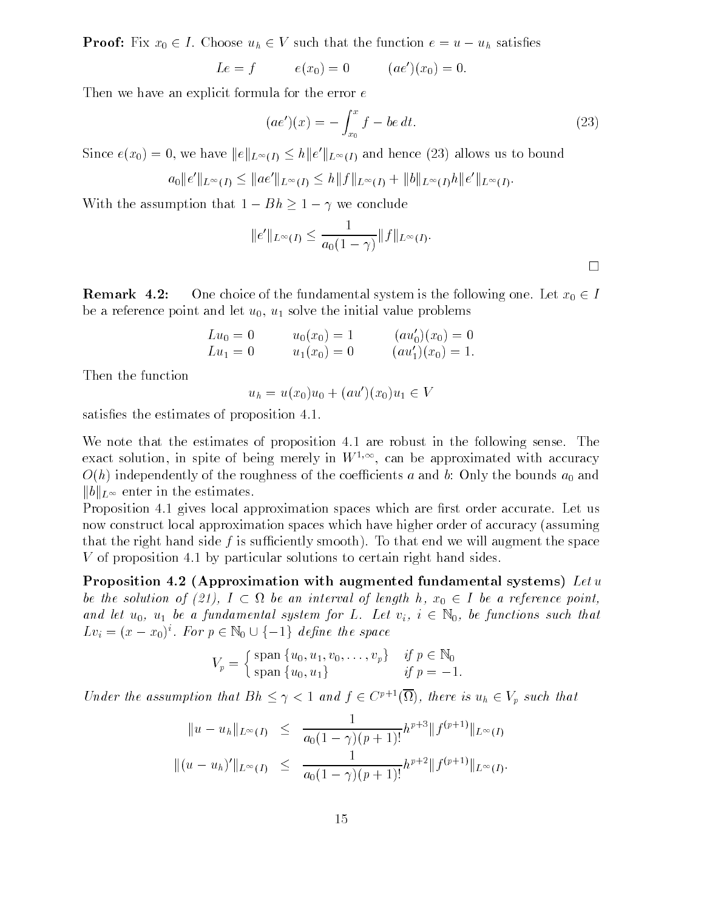**Proof:** Fix  $x_0 \in I$ . Choose  $u_h \in V$  such that the function  $e = u - u_h$  satisfies

$$
Le = f
$$
  $e(x_0) = 0$   $(ae')(x_0) = 0.$ 

Then we have an explicit formula for the error  $e$ 

$$
(ae')(x) = -\int_{x_0}^{x} f - be \, dt. \tag{23}
$$

Since  $e(x_0) = 0$ , we have  $||e||_{L^{\infty}(I)} \leq h||e'||_{L^{\infty}(I)}$  and hence (23) allows us to bound

0, we have 
$$
||e||_{L^{\infty}(I)} \leq h||e'||_{L^{\infty}(I)}
$$
 and hence (23) allows us to  
 $a_0||e'||_{L^{\infty}(I)} \leq ||ae'||_{L^{\infty}(I)} \leq h||f||_{L^{\infty}(I)} + ||b||_{L^{\infty}(I)}h||e'||_{L^{\infty}(I)}$ .

With the assumption that  $1 - Bh \geq 1 - \gamma$  we conclude

$$
||e'||_{L^{\infty}(I)} \leq \frac{1}{a_0(1-\gamma)} ||f||_{L^{\infty}(I)}.
$$

 $\Box$ 

Remark 4.2: One choice of the fundamental system is the following one. Let  $x_0 \in I$ be a reference point and let  $u_0$ ,  $u_1$  solve the initial value problems

$$
Lu_0 = 0
$$
  $u_0(x_0) = 1$   $(au'_0)(x_0) = 0$   
\n $Lu_1 = 0$   $u_1(x_0) = 0$   $(au'_1)(x_0) = 1$ .

Then the function

$$
u_h = u(x_0)u_0 + (au')(x_0)u_1 \in V
$$

satisfies the estimates of proposition 4.1.

We note that the estimates of proposition 4.1 are robust in the following sense. The exact solution, in spite of being merely in  $W^{\gamma,\gamma}$ , can be approximated with accuracy  $O(h)$  independently of the roughness of the coefficients a and b: Only the bounds  $a_0$  and  $||b||_{L^{\infty}}$  enter in the estimates.

Proposition 4.1 gives local approximation spaces which are first order accurate. Let us now construct local approximation spaces which have higher order of accuracy (assuming that the right hand side f is sufficiently smooth). To that end we will augment the space V of proposition by particular solutions to certain right hand sides

 $\mathbf{r}$  , we can compute the proximation of  $\mathbf{r}$  is the system of  $\mathbf{r}$  and  $\mathbf{r}$  and  $\mathbf{r}$  and  $\mathbf{r}$  and  $\mathbf{r}$ be the solution of (21),  $I \subset \Omega$  be an interval of length h,  $x_0 \in I$  be a reference point, and let  $u_0$ ,  $u_1$  be a fundamental system for L. Let  $v_i$ ,  $i \in \mathbb{N}_0$ , be functions such that  $Lv_i = (x - x_0)^i$ .  $f(21)$ ,  $I \subset \Omega$  be an interval of length<br>i a fundamental system for L. Let  $v_i$ ,<br>For  $p \in \mathbb{N}_0 \cup \{-1\}$  define the space

$$
V_p = \begin{cases} \text{span } \{u_0, u_1, v_0, \dots, v_p\} & \text{if } p \in \mathbb{N}_0 \\ \text{span } \{u_0, u_1\} & \text{if } p = -1. \end{cases}
$$

Under the assumption that  $Bh \leq \gamma < 1$  and  $f \in C^{p+1}(\overline{\Omega})$ , there is  $u_h \in V_p$  such that

$$
||u - u_h||_{L^{\infty}(I)} \leq \frac{1}{a_0(1 - \gamma)(p + 1)!} h^{p+3} ||f^{(p+1)}||_{L^{\infty}(I)}
$$
  

$$
|| (u - u_h)'||_{L^{\infty}(I)} \leq \frac{1}{a_0(1 - \gamma)(p + 1)!} h^{p+2} ||f^{(p+1)}||_{L^{\infty}(I)}.
$$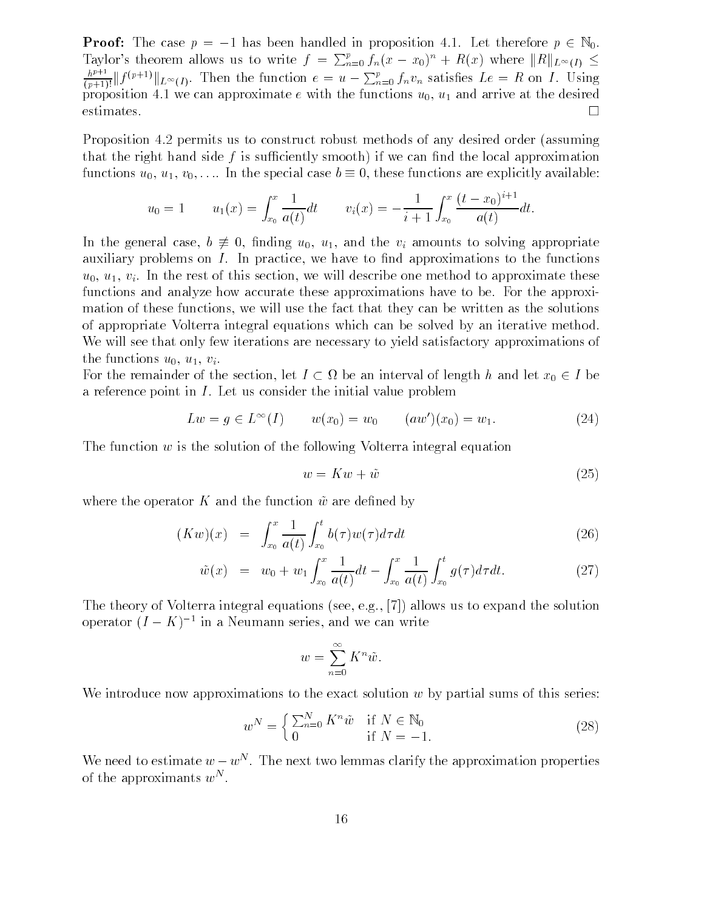**Proof:** The case  $p = -1$  has been handled in proposition 4.1. Let therefore  $p \in \mathbb{N}_0$ . Taylor's theorem allows us to write  $f = \sum_{n=0}^{p} f_n(x - x_0)^n + R(x)$  where  $||R||_{L^{\infty}(I)} \le$  $\frac{h^{p+1}}{(p+1)!} \| f^{(p+1)} \|_{L^{\infty}(I)}$ . Then the function  $e = u - \sum_{n=0}^{p} f_n v_n$  satisfies  $Le = R$  on I. Using  $n<sub>r</sub>$  is  $n<sub>r</sub>$ proposition 4.1 we can approximate e with the functions  $u_0$ ,  $u_1$  and arrive at the desired  $\Box$ 

Proposition permits us to construct robust methods of any desired order assuming that the right hand side  $f$  is sufficiently smooth) if we can find the local approximation functions  $u_0, u_1, v_0, \ldots$  In the special case  $b \equiv 0$ , these functions are explicitly available:

$$
u_0 = 1 \qquad u_1(x) = \int_{x_0}^x \frac{1}{a(t)} dt \qquad v_i(x) = -\frac{1}{i+1} \int_{x_0}^x \frac{(t-x_0)^{i+1}}{a(t)} dt.
$$

In the general case,  $b \neq 0$ , finding  $u_0$ ,  $u_1$ , and the  $v_i$  amounts to solving appropriate auxiliary problems on  $I$ . In practice, we have to find approximations to the functions  $u_0, u_1, v_i$ . In the rest of this section, we will describe one method to approximate these functions and analyze how accurate these approximations have to be. For the approximation of these functions, we will use the fact that they can be written as the solutions of appropriate Volterra integral equations which can be solved by an iterative method We will see that only few iterations are necessary to yield satisfactory approximations of the functions  $u_0, u_1, v_i$ .

For the remainder of the section, let  $I \subset \Omega$  be an interval of length h and let  $x_0 \in I$  be a reference point in  $I$ . Let us consider the initial value problem

$$
Lw = g \in L^{\infty}(I) \qquad w(x_0) = w_0 \qquad (aw')(x_0) = w_1. \tag{24}
$$

The function  $w$  is the solution of the following Volterra integral equation

$$
w = Kw + \tilde{w} \tag{25}
$$

where the operator K and the function  $\tilde{w}$  are defined by

$$
(Kw)(x) = \int_{x_0}^x \frac{1}{a(t)} \int_{x_0}^t b(\tau) w(\tau) d\tau dt
$$
\n(26)

$$
\tilde{w}(x) = w_0 + w_1 \int_{x_0}^x \frac{1}{a(t)} dt - \int_{x_0}^x \frac{1}{a(t)} \int_{x_0}^t g(\tau) d\tau dt.
$$
\n(27)

The theory of Volterra integral equations (see, e.g., [7]) allows us to expand the solution operator  $(I - K)^{-1}$  in a Neumann series, and we can write

$$
w = \sum_{n=0}^{\infty} K^n \tilde{w}.
$$

We introduce now approximations to the exact solution  $w$  by partial sums of this series:

$$
w^N = \begin{cases} \sum_{n=0}^{N} K^n \tilde{w} & \text{if } N \in \mathbb{N}_0 \\ 0 & \text{if } N = -1. \end{cases}
$$
 (28)

We need to estimate  $w - w^N$ . The next two lemmas clarify the approximation properties of the approximants  $w^{\mathbb{N}}$  .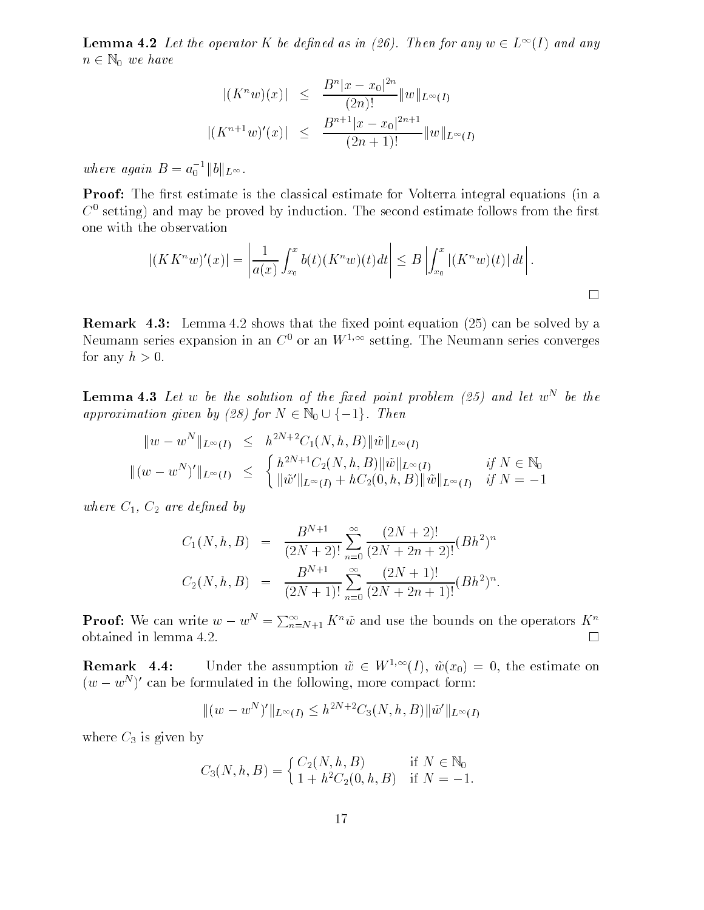**Lemma 4.2** Let the operator K be defined as in (26). Then for any  $w \in L^{\infty}(I)$  and any  $n \in \mathbb{N}_0$  we have

$$
|(K^n w)(x)| \le \frac{B^n |x - x_0|^{2n}}{(2n)!} ||w||_{L^{\infty}(I)}
$$
  

$$
|(K^{n+1} w)'(x)| \le \frac{B^{n+1} |x - x_0|^{2n+1}}{(2n+1)!} ||w||_{L^{\infty}(I)}
$$

where again  $B = a_0^{-1} ||b||_{L^{\infty}}$ .

Proof: The first estimate is the classical estimate for Volterra integral equations (in a  $\mathbb{C}^+$  setting) and may be proved by induction. The second estimate follows from the first  $$ one with the observation

$$
|(KK^n w)'(x)| = \left| \frac{1}{a(x)} \int_{x_0}^x b(t) (K^n w)(t) dt \right| \leq B \left| \int_{x_0}^x |(K^n w)(t)| dt \right|.
$$

 $\mathbf 1$ Neumann series expansion in an  $C^+$  or an W<sup>-101</sup> setting. The Neumann series converges for any  $h > 0$ .

**Lemma 4.5** Let  $w$  be the solution of the fixed point problem  $\{z_j\}$  and let  $w^{\perp}$  be the approximation and the property of the contract of the contract of the contract of the contract of the contract of the contract of the contract of the contract of the contract of the contract of the contract of the contract he solution of the fixed<br>(28) for  $N \in \mathbb{N}_0 \cup \{-1\}$ .

$$
||w - w^N||_{L^{\infty}(I)} \leq h^{2N+2} C_1(N, h, B) ||\tilde{w}||_{L^{\infty}(I)}
$$
  

$$
||(w - w^N)'||_{L^{\infty}(I)} \leq \begin{cases} h^{2N+1} C_2(N, h, B) ||\tilde{w}||_{L^{\infty}(I)} & \text{if } N \in \mathbb{N}_0 \\ ||\tilde{w}'||_{L^{\infty}(I)} + h C_2(0, h, B) ||\tilde{w}||_{L^{\infty}(I)} & \text{if } N = -1 \end{cases}
$$

where  $C_1$ ,  $C_2$  are defined by

$$
C_1(N, h, B) = \frac{B^{N+1}}{(2N+2)!} \sum_{n=0}^{\infty} \frac{(2N+2)!}{(2N+2n+2)!} (Bh^2)^n
$$
  

$$
C_2(N, h, B) = \frac{B^{N+1}}{(2N+1)!} \sum_{n=0}^{\infty} \frac{(2N+1)!}{(2N+2n+1)!} (Bh^2)^n.
$$

**Proof:** We can write  $w - w^N = \sum_{n=N+1}^{\infty} K^n \tilde{w}$  and use the bounds on the operators  $K^n$ obtained in lemma 

: Under the assumption  $\tilde{w} \in W^{1,\infty}(I)$ ,  $\tilde{w}(x_0) = 0$ , the estimate on  $(w - w^N)'$  can be formulated in the following, more compact form:

$$
|| (w - wN)'||_{L^{\infty}(I)} \leq h^{2N+2} C_3(N, h, B) || \tilde{w}' ||_{L^{\infty}(I)}
$$

 $\cdots$  are  $\cdots$  given by

$$
C_3(N, h, B) = \begin{cases} C_2(N, h, B) & \text{if } N \in \mathbb{N}_0 \\ 1 + h^2 C_2(0, h, B) & \text{if } N = -1. \end{cases}
$$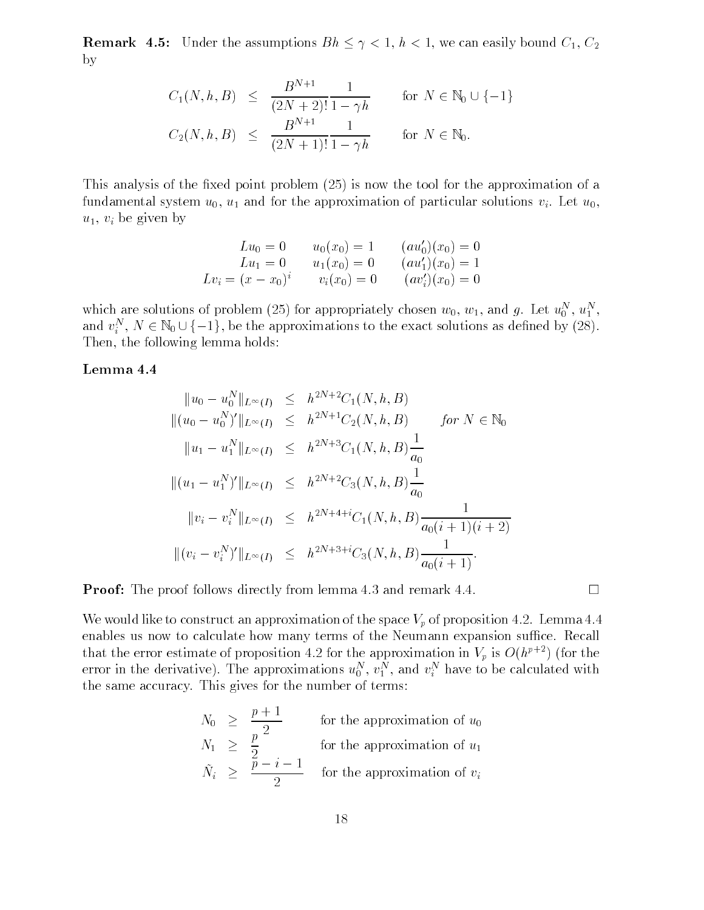**Remark 4.5:** Under the assumptions  $Bh \leq \gamma < 1$ ,  $h < 1$ , we can easily bound  $C_1, C_2$ by

$$
C_1(N, h, B) \le \frac{B^{N+1}}{(2N+2)!} \frac{1}{1 - \gamma h} \quad \text{for } N \in \mathbb{N}_0 \cup \{-1\}
$$
  

$$
C_2(N, h, B) \le \frac{B^{N+1}}{(2N+1)!} \frac{1}{1 - \gamma h} \quad \text{for } N \in \mathbb{N}_0.
$$

This analysis of the total point problem  $\Lambda$  and  $\Lambda$  approximation of approximation of approximation of approximation of approximation of approximation of approximation of approximation of approximation of approximation fundamental system  $u_0$ ,  $u_1$  and for the approximation of particular solutions  $v_i$ . Let  $u_0$ ,  $u_1, v_i$  be given by

$$
Lu_0 = 0 \t u_0(x_0) = 1 \t (au'_0)(x_0) = 0
$$
  
\n
$$
Lu_1 = 0 \t u_1(x_0) = 0 \t (au'_1)(x_0) = 1
$$
  
\n
$$
Lv_i = (x - x_0)^i \t v_i(x_0) = 0 \t (av'_i)(x_0) = 0
$$

which are solutions of problem (25) for appropriately chosen  $w_0, w_1$ , and g. Let  $u_0^-, u_1^-,$ which are solutions of problem (25) for appropriately chosen  $w_0$ ,  $w_1$ , and g. Let  $u_0^N$ ,  $u_1^N$ , and  $v_i^N$ ,  $N \in \mathbb{N}_0 \cup \{-1\}$ , be the approximations to the exact solutions as defined by (28). Then, the following lemma holds:

$$
||u_0 - u_0^N||_{L^{\infty}(I)} \leq h^{2N+2}C_1(N, h, B)
$$
  
\n
$$
||(u_0 - u_0^N)'||_{L^{\infty}(I)} \leq h^{2N+1}C_2(N, h, B) \quad \text{for } N \in \mathbb{N}_0
$$
  
\n
$$
||u_1 - u_1^N||_{L^{\infty}(I)} \leq h^{2N+3}C_1(N, h, B)\frac{1}{a_0}
$$
  
\n
$$
||(u_1 - u_1^N)'||_{L^{\infty}(I)} \leq h^{2N+2}C_3(N, h, B)\frac{1}{a_0}
$$
  
\n
$$
||v_i - v_i^N||_{L^{\infty}(I)} \leq h^{2N+4+i}C_1(N, h, B)\frac{1}{a_0(i+1)(i+2)}
$$
  
\n
$$
||(v_i - v_i^N)'||_{L^{\infty}(I)} \leq h^{2N+3+i}C_3(N, h, B)\frac{1}{a_0(i+1)}.
$$

**Proof:** The proof follows directly from lemma 4.3 and remark 4.4.

 $\mu$  , and the to construct an approximation of the space  $\mu$  are proposition for promine for enables us now to calculate how many terms of the Neumann expansion suffice. Recall that the error estimate of proposition 4.2 for the approximation in  $V_p$  is  $O(h^{r+1})$  (for the error in the derivative). The approximations  $u_0$  ,  $v_1$  , and  $v_i$  have to be calculated with the same accuracy. This gives for the number of terms:

$$
N_0 \geq \frac{p+1}{2}
$$
 for the approximation of  $u_0$   
\n
$$
N_1 \geq \frac{p}{2}
$$
 for the approximation of  $u_1$   
\n
$$
\tilde{N}_i \geq \frac{p-i-1}{2}
$$
 for the approximation of  $v_i$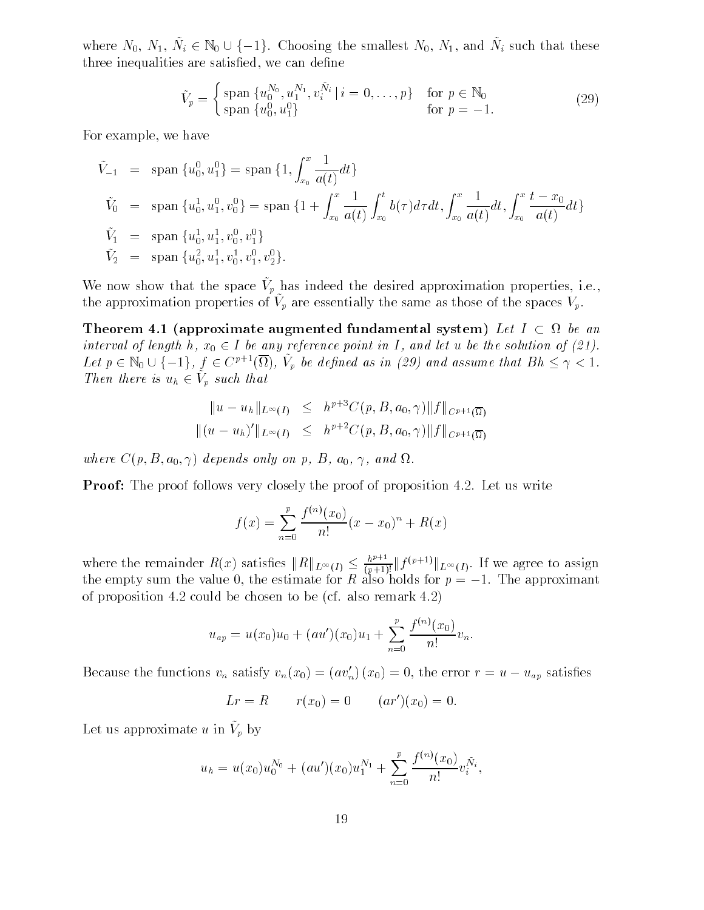where  $N_0$ ,  $N_1$ ,  $\tilde{N}_i \in \mathbb{N}_0 \cup \{-1\}$ . Choosing the smallest  $N_0$ ,  $N_1$ , and  $\tilde{N}_i$  such that these three inequalities are satisfied, we can define

$$
\tilde{V}_p = \begin{cases}\n\text{span } \{u_0^{N_0}, u_1^{N_1}, v_i^{\tilde{N}_i} \mid i = 0, \dots, p\} & \text{for } p \in \mathbb{N}_0 \\
\text{span } \{u_0^0, u_1^0\} & \text{for } p = -1.\n\end{cases}
$$
\n(29)

For example, we have

$$
\tilde{V}_{-1} = \text{span}\{u_0^0, u_1^0\} = \text{span}\{1, \int_{x_0}^x \frac{1}{a(t)} dt\}
$$
\n
$$
\tilde{V}_0 = \text{span}\{u_0^1, u_1^0, v_0^0\} = \text{span}\{1 + \int_{x_0}^x \frac{1}{a(t)} \int_{x_0}^t b(\tau) d\tau dt, \int_{x_0}^x \frac{1}{a(t)} dt, \int_{x_0}^x \frac{t - x_0}{a(t)} dt\}
$$
\n
$$
\tilde{V}_1 = \text{span}\{u_0^1, u_1^1, v_0^0, v_1^0\}
$$
\n
$$
\tilde{V}_2 = \text{span}\{u_0^2, u_1^1, v_0^1, v_1^0, v_2^0\}.
$$

We now show that the space  $v_p$  has indeed the desired approximation properties, i.e., the approximation properties of  $v_p$  are essentially the same as those of the spaces  $v_p$ .

Theorem 4.1 (approximate augmented fundamental system)  $\emph{Let }~I~\subset~\Omega~~be~~an$ interval of length h,  $x_0 \in I$  be any reference point in I, and let u be the solution of (21). **Theorem 4.1 (approximate augmented fundamental system)** Let  $I \subset \Omega$  be an interval of length h,  $x_0 \in I$  be any reference point in I, and let u be the solution of (21).<br>Let  $p \in \mathbb{N}_0 \cup \{-1\}$ ,  $f \in C^{p+1}(\overline{\Omega})$ ,  $\tilde{V}_$ Then there is  $u_h \in V_n$  such that

$$
||u - u_h||_{L^{\infty}(I)} \leq h^{p+3}C(p, B, a_0, \gamma)||f||_{C^{p+1}(\overline{\Omega})}
$$
  

$$
||(u - u_h)'||_{L^{\infty}(I)} \leq h^{p+2}C(p, B, a_0, \gamma)||f||_{C^{p+1}(\overline{\Omega})}
$$

where  $C(p, B, a_0, \gamma)$  depends only on p, B,  $a_0$ ,  $\gamma$ , and  $\Omega$ .

Proof The proof follows very closely the proof of proposition Let us write

$$
f(x) = \sum_{n=0}^{p} \frac{f^{(n)}(x_0)}{n!} (x - x_0)^n + R(x)
$$

where the remainder  $R(x)$  satisfies  $||R||_{L^{\infty}(I)} \leq \frac{\hbar^{p+1}}{(p+1)!} ||f^{(p+1)}||_{L^{\infty}(I)}$ . If we agree to assign<br>the empty sum the value 0, the estimate for R also holds for  $p = -1$ . The approximant of proposition and counts to be chosen to the proposition for also  $\mathcal{C}$ 

$$
u_{ap} = u(x_0)u_0 + (au')(x_0)u_1 + \sum_{n=0}^p \frac{f^{(n)}(x_0)}{n!}v_n.
$$

Because the functions  $v_n$  satisfy  $v_n(x_0) = (av'_n)(x_0) = 0$ , the error  $r = u - u_{ap}$  satisfies

$$
Lr = R
$$
  $r(x_0) = 0$   $(ar')(x_0) = 0.$ 

Let us approximate  $u$  in  $v_p$  by

$$
u_h = u(x_0)u_0^{N_0} + (au')(x_0)u_1^{N_1} + \sum_{n=0}^p \frac{f^{(n)}(x_0)}{n!}v_i^{\tilde{N}_i},
$$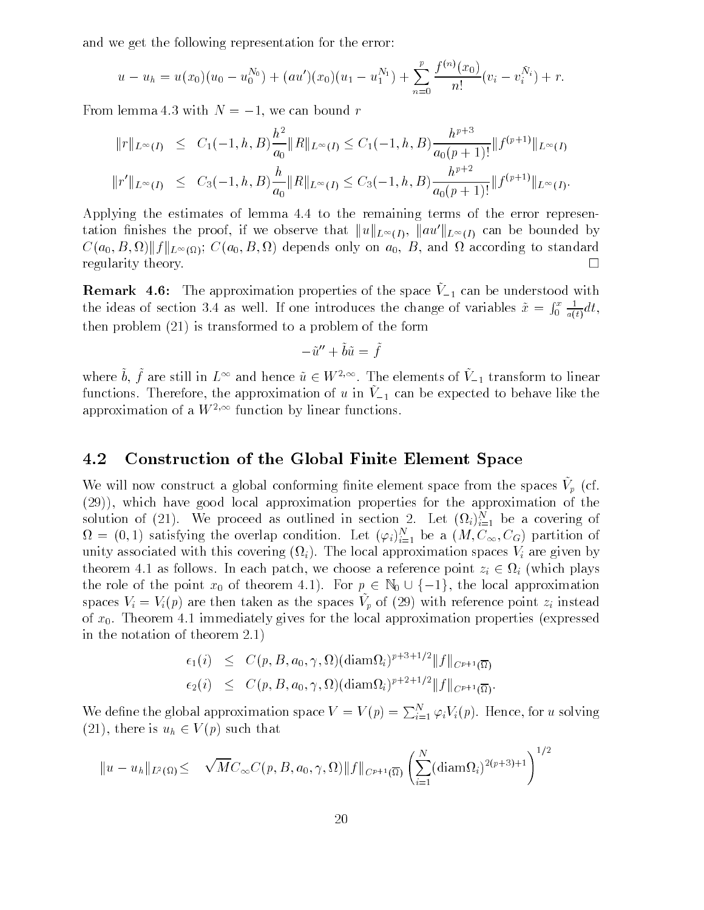and we get the following representation for the error

$$
u - u_h = u(x_0)(u_0 - u_0^{N_0}) + (au')(x_0)(u_1 - u_1^{N_1}) + \sum_{n=0}^p \frac{f^{(n)}(x_0)}{n!}(v_i - v_i^{N_i}) + r.
$$

From lemma 4.3 with  $N = -1$ , we can bound r

$$
||r||_{L^{\infty}(I)} \leq C_1(-1,h,B)\frac{h^2}{a_0}||R||_{L^{\infty}(I)} \leq C_1(-1,h,B)\frac{h^{p+3}}{a_0(p+1)!}||f^{(p+1)}||_{L^{\infty}(I)}
$$
  

$$
||r'||_{L^{\infty}(I)} \leq C_3(-1,h,B)\frac{h}{a_0}||R||_{L^{\infty}(I)} \leq C_3(-1,h,B)\frac{h^{p+2}}{a_0(p+1)!}||f^{(p+1)}||_{L^{\infty}(I)}.
$$

Applying the estimates of lemma 4.4 to the remaining terms of the error representation finishes the proof, if we observe that  $||u||_{L^{\infty}(I)}$ ,  $||au'||_{L^{\infty}(I)}$  can be bounded by  $C(a_0, B, \Omega)$   $||f||_{L^{\infty}(\Omega)}$ ;  $C(a_0, B, \Omega)$  depends only on  $a_0, B$ , and  $\Omega$  according to standard regularity theory  $\Box$ 

**ILEMARK 4.0.** The approximation properties of the space  $y = 1$  can be understood with the ideas of section of  $\omega$  well introduced the data and variable of variables  $\omega$  x  $\frac{1}{2}$   $\frac{1}{2}$  $rx \quad 1$  $0 \frac{1}{a(t)} dt$ ,  $\mathbf{1}$  transformed to a problem of the form of the form of the form of the form of the form of the form of the form

$$
-\tilde{u}'' + \tilde{b}\tilde{u} = \tilde{f}
$$

where b, f are still in  $L^{\infty}$  and hence  $\tilde{u} \in W^{2,\infty}$ . The elements of  $V_{-1}$  transform to linear  $f$ unctions. Therefore, the approximation of u in  $V=1$  can be expected to behave like the approximation of a  $W^{\gamma\gamma\gamma}$  function by inear functions.

#### 4.2 Construction of the Global Finite Element Space

We will now construct a grobal comorning influe element space from the spaces  $v_p$  (ef. which is the domination of the approximation properties for the approximation of the approximation of the approximation of the second of the second of the second of the second of the second of the second of the second of t solution of (21). We proceed as outlined in section 2. Let  $(i<sub>i</sub>)_{i=1}^{\infty}$  be a covering of  $\mathbf{M} = (0, 1)$  satisfying the overlap condition. Let  $(\varphi_i)_{i=1}^{\infty}$  be a  $(M, \cup_{\infty}, \cup_G)$  partition of unity associated with this covering  $(\Omega_i)$ . The local approximation spaces  $V_i$  are given by theorem 4.1 as follows. In each patch, we choose a reference point  $z_i \in \Omega_i$  (which plays the role of the point  $x_0$  of theorem 4.1). For  $p \in \mathbb{N}_0 \cup \{-1\}$ , the local approximation spaces  $v_i = v_i(p)$  are their taken as the spaces  $v_p$  or (29) with reference point  $z_i$  instead of  $x_0$ . Theorem 4.1 immediately gives for the local approximation properties (expressed in the notation of the notation of the  $\mathcal{L}_{\mathcal{A}}$ 

$$
\epsilon_1(i) \leq C(p, B, a_0, \gamma, \Omega)(\text{diam}\Omega_i)^{p+3+1/2} \|f\|_{C^{p+1}(\overline{\Omega})}
$$
  

$$
\epsilon_2(i) \leq C(p, B, a_0, \gamma, \Omega)(\text{diam}\Omega_i)^{p+2+1/2} \|f\|_{C^{p+1}(\overline{\Omega})}.
$$

We define the global approximation space  $V = V(p) = \sum_{i=1}^{N} \varphi_i V_i(p)$ . Hence, for u solving  $(21)$ , there is  $u_h \in V(p)$  such that

$$
||u - u_h||_{L^2(\Omega)} \leq \sqrt{M}C_{\infty}C(p, B, a_0, \gamma, \Omega) ||f||_{C^{p+1}(\overline{\Omega})} \left(\sum_{i=1}^N (\text{diam}\Omega_i)^{2(p+3)+1}\right)^{1/2}
$$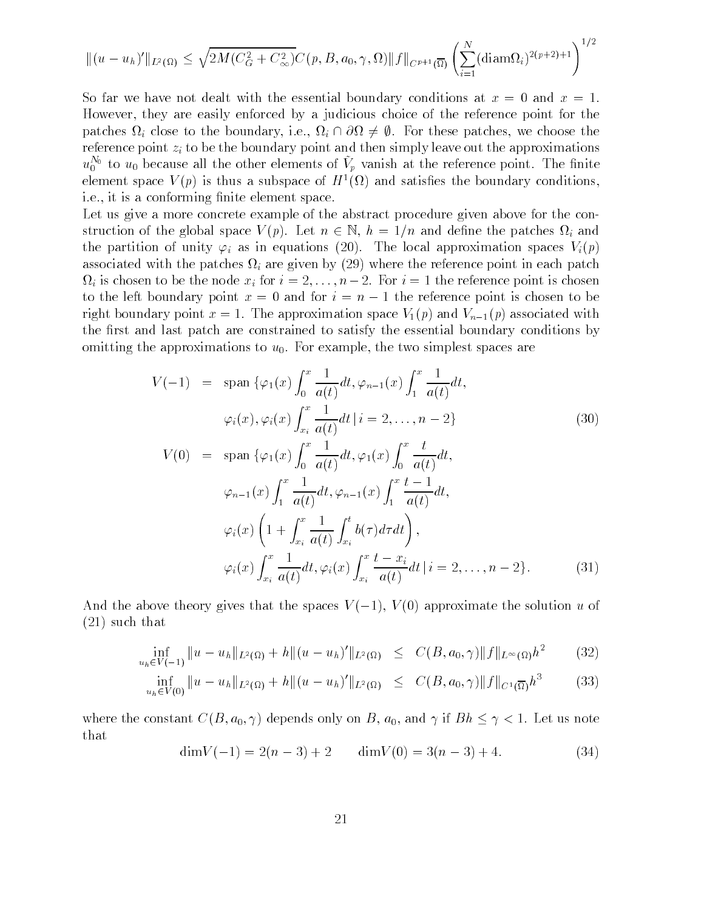$$
|| (u - u_h)' ||_{L^2(\Omega)} \le \sqrt{2M(C_G^2 + C_\infty^2)} C(p, B, a_0, \gamma, \Omega) ||f||_{C^{p+1}(\overline{\Omega})} \left( \sum_{i=1}^N (\text{diam}\Omega_i)^{2(p+2)+1} \right)^{1/2}
$$

So far we have not dealt with the essential boundary conditions at  $x = 0$  and  $x = 1$ . However, they are easily enforced by a judicious choice of the reference point for the patches  $\Omega_i$  close to the boundary, i.e.,  $\Omega_i \cap \partial \Omega \neq \emptyset$ . For these patches, we choose the reference point  $z_i$  to be the boundary point and then simply leave out the approximations  $u_0^{\sim}$  to  $u_0$  because all the other elements of  $V_p$  vanish at the reference point. The finite element space  $V(p)$  is thus a subspace of  $H^1(\Omega)$  and satisfies the boundary conditions, i.e., it is a conforming finite element space.

Let us give a more concrete example of the abstract procedure given above for the con struction of the global space  $V(p)$ . Let  $n \in \mathbb{N}$ ,  $h = 1/n$  and define the patches  $\Omega_i$  and  $\sum_{i=1}^n \sum_{i=1}^n \sum_{i=1}^n \sum_{i=1}^n \sum_{i=1}^n \sum_{i=1}^n \sum_{i=1}^n \sum_{i=1}^n \sum_{i=1}^n \sum_{i=1}^n \sum_{i=1}^n \sum_{i=1}^n \sum_{i=1}^n \sum_{i=1}^n \sum_{i=1}^n \sum_{i=1}^n \sum_{i=1}^n \sum_{i=1}^n \sum_{i=1}^n \sum_{i=1}^n \sum_{i=1}^n \sum_{i=1}^n \sum_{i=1}^n \sum_{i=1}^n \sum_{i$ associated with the patches in the patches in  $\alpha$  are are the reference point in each patches point in the reference point in the patches of the reference point in the second patches of the reference of the second patches  $\Omega_i$  is chosen to be the node  $x_i$  for  $i = 2, \ldots, n-2$ . For  $i = 1$  the reference point is chosen to the left boundary point  $x = 0$  and for  $i = n - 1$  the reference point is chosen to be  $\mathbf{r}_1$  , and  $\mathbf{r}_2$  is a strong proximation space  $\mathbf{v}_1$  and  $\mathbf{v}_2$  and  $\mathbf{v}_3$  are  $\mathbf{r}_1$ the first and last patch are constrained to satisfy the essential boundary conditions by omitting the approximations to  $u_0$ . For example, the two simplest spaces are

$$
V(-1) = \text{span}\{\varphi_1(x)\int_0^x \frac{1}{a(t)}dt, \varphi_{n-1}(x)\int_1^x \frac{1}{a(t)}dt, \n\varphi_i(x), \varphi_i(x)\int_{x_i}^x \frac{1}{a(t)}dt \mid i = 2, ..., n-2\}
$$
\n(30)  
\n
$$
V(0) = \text{span}\{\varphi_1(x)\int_0^x \frac{1}{a(t)}dt, \varphi_1(x)\int_0^x \frac{t}{a(t)}dt, \n\varphi_{n-1}(x)\int_1^x \frac{1}{a(t)}dt, \varphi_{n-1}(x)\int_1^x \frac{t-1}{a(t)}dt, \n\varphi_i(x)\left(1+\int_{x_i}^x \frac{1}{a(t)}\int_{x_i}^t b(\tau)d\tau dt\right), \n\varphi_i(x)\int_{x_i}^x \frac{1}{a(t)}dt, \varphi_i(x)\int_{x_i}^x \frac{t-x_i}{a(t)}dt \mid i = 2, ..., n-2\}.
$$
\n(31)

And the above theory gives that the spaces  $V(-1)$ ,  $V(0)$  approximate the solution u of  $s = -1$  . The that the that the set of  $\mathcal{S}$ 

$$
\inf_{u_h \in V(-1)} \|u - u_h\|_{L^2(\Omega)} + h\|(u - u_h)'\|_{L^2(\Omega)} \leq C(B, a_0, \gamma) \|f\|_{L^\infty(\Omega)} h^2 \qquad (32)
$$

$$
\inf_{u_h \in V(0)} \|u - u_h\|_{L^2(\Omega)} + h\|(u - u_h)'\|_{L^2(\Omega)} \leq C(B, a_0, \gamma) \|f\|_{C^1(\overline{\Omega})} h^3 \tag{33}
$$

where the constant  $C(B, a_0, \gamma)$  depends only on B,  $a_0$ , and  $\gamma$  if  $Bh \leq \gamma < 1$ . Let us note that

$$
\dim V(-1) = 2(n-3) + 2 \qquad \dim V(0) = 3(n-3) + 4. \tag{34}
$$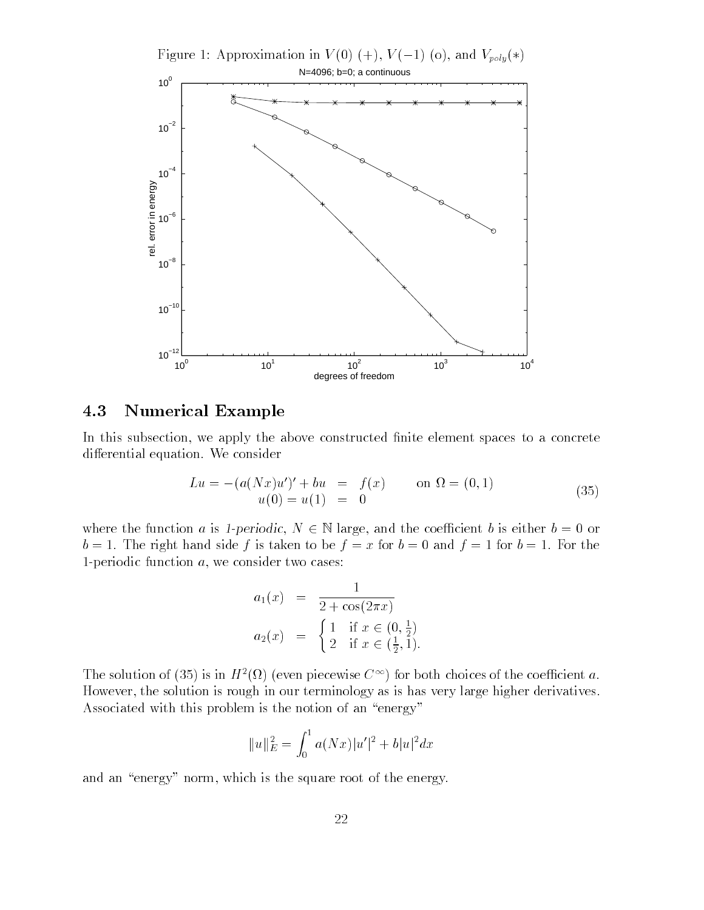Figure 1: Approximation in  $V(0)$  (+),  $V(-1)$  (o), and  $V_{poly}(*)$ 



### 4.3 Numerical Example

In this subsection, we apply the above constructed finite element spaces to a concrete differential equation. We consider

$$
Lu = -(a(Nx)u')' + bu = f(x) \qquad \text{on } \Omega = (0,1)
$$
  
 
$$
u(0) = u(1) = 0 \tag{35}
$$

where the function a is 1-periodic,  $N \in \mathbb{N}$  large, and the coefficient b is either  $b = 0$  or by a right fraction  $\beta$  is taken to be fixed for  $\alpha$  ,  $\beta$  ,  $\alpha$  and  $\beta$  ,  $\alpha$  for  $\beta$  ,  $\alpha$  ,  $\beta$  ,  $\alpha$ 1-periodic function  $a$ , we consider two cases:

$$
a_1(x) = \frac{1}{2 + \cos(2\pi x)}
$$
  
\n
$$
a_2(x) = \begin{cases} 1 & \text{if } x \in (0, \frac{1}{2}) \\ 2 & \text{if } x \in (\frac{1}{2}, 1). \end{cases}
$$

The solution of (55) is in  $H^{-}(M)$  (even piecewise  $C^{-1}$ ) for both choices of the coefficient  $a$ . However, the solution is rough in our terminology as is has very large higher derivatives. Associated with this problem is the notion of an "energy"

$$
||u||_E^2 = \int_0^1 a(Nx)|u'|^2 + b|u|^2 dx
$$

and an "energy" norm, which is the square root of the energy.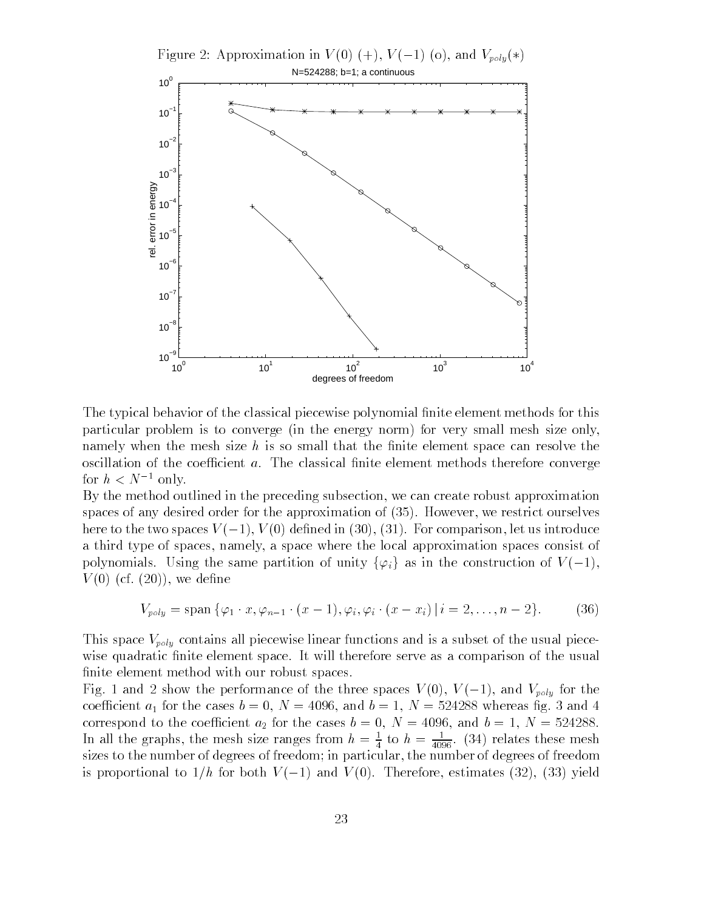

The typical behavior of the classical piecewise polynomial finite element methods for this particular problem is to converge (in the energy norm) for very small mesh size only, namely when the mesh size  $h$  is so small that the finite element space can resolve the oscillation of the coefficient  $a$ . The classical finite element methods therefore converge for  $n < N$  only.

By the method outlined in the preceding subsection we can create robust approximation spaces of any desired order for the approximation of  $(35)$ . However, we restrict ourselves here to the two spaces  $V(-1)$ ,  $V(0)$  defined in (30), (31). For comparison, let us introduce a third type of spaces namely a space where the local approximation spaces consist of polynomials. Using the same partition of unity  $\{\varphi_i\}$  as in the construction of  $V(-1)$ ,  $\frac{1}{2}$   $\frac{1}{2}$   $\frac{1}{2}$   $\frac{1}{2}$   $\frac{1}{2}$   $\frac{1}{2}$   $\frac{1}{2}$   $\frac{1}{2}$   $\frac{1}{2}$   $\frac{1}{2}$   $\frac{1}{2}$   $\frac{1}{2}$   $\frac{1}{2}$   $\frac{1}{2}$   $\frac{1}{2}$   $\frac{1}{2}$   $\frac{1}{2}$   $\frac{1}{2}$   $\frac{1}{2}$   $\frac{1}{2}$   $\frac{1}{2}$   $\frac{1}{2}$ 

$$
V_{poly} = \text{span}\,\{\varphi_1 \cdot x, \varphi_{n-1} \cdot (x-1), \varphi_i, \varphi_i \cdot (x-x_i) \,|\, i=2,\ldots, n-2\}.\tag{36}
$$

This space  $V_{poly}$  contains all piecewise linear functions and is a subset of the usual piecewise quadratic finite element space. It will therefore serve as a comparison of the usual finite element method with our robust spaces.

Fig. 1 and 2 show the performance of the three spaces  $V(0)$ ,  $V(-1)$ , and  $V_{poly}$  for the coecient a for the cases <sup>b</sup> <sup>N</sup> and <sup>b</sup> <sup>N</sup> whereas g and correspond to the coeinerally  $\frac{N}{2}$  for the cases b  $N$  , i.e.  $N$   $\frac{N}{2}$  and b  $N$   $\frac{N}{2}$   $\frac{N}{2}$ In all the graphs, the mesh size ranges from  $h = \frac{1}{4}$  to  $h = \frac{1}{4096}$ . (34) relates these mesh sizes to the number of degrees of freedom; in particular, the number of degrees of freedom is proportional to  $1/h$  for both  $V(-1)$  and  $V(0)$ . Therefore, estimates (32), (33) yield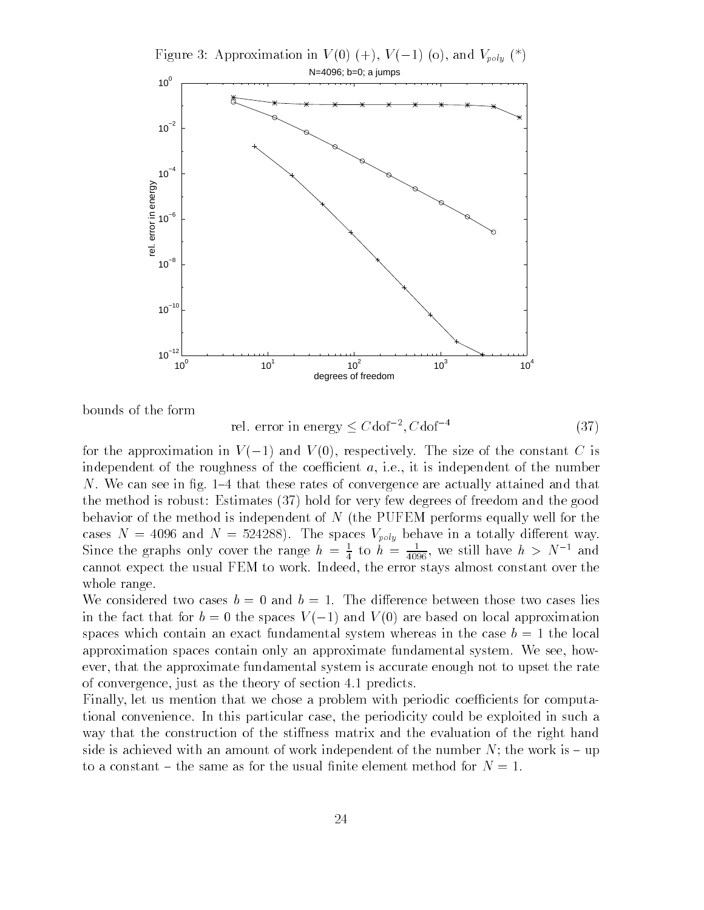Figure 3: Approximation in  $V(0)$  (+),  $V(-1)$  (o), and  $V_{poly}$  (\*)



bounds of the form

rel, error in energy  $\leq C$ dof<sup>-2</sup>,  $C$ dof<sup>-4</sup>  $(37)$ 

for the approximation in  $V(-1)$  and  $V(0)$ , respectively. The size of the constant C is independent of the roughness of the coefficient  $a$ , i.e., it is independent of the number N. We can see in fig.  $1-4$  that these rates of convergence are actually attained and that the method is robust: Estimates  $(37)$  hold for very few degrees of freedom and the good behavior of the method is independent of  $N$  (the PUFEM performs equally well for the  $\mathcal{C}$  as as  $\mathcal{C}$  . The spaces in  $\mathcal{C}$  and  $\mathcal{C}$  in a totally dimension way. Since the graphs only cover the range  $n = \frac{1}{4}$  to  $n = \frac{1}{4096}$ , we still have  $n > N$  and cannot expect the usual FEM to work Indeed the error stays almost constant over the whole range.

We considered two cases  $b = 0$  and  $b = 1$ . The difference between those two cases lies in the fact that for  $b = 0$  the spaces  $V(-1)$  and  $V(0)$  are based on local approximation spaces which contain an exact fundamental system whereas in the case  $b = 1$  the local approximation spaces contain only an approximate fundamental system. We see, however, that the approximate fundamental system is accurate enough not to upset the rate of convergence, just as the theory of section  $4.1$  predicts.

Finally, let us mention that we chose a problem with periodic coefficients for computational convenience In this particular case the periodicity could be exploited in such a way that the construction of the stiffness matrix and the evaluation of the right hand side is achieved with an amount of work independent of the number  $N$ ; the work is  $-\text{up}$ to a constant – the same as for the usual finite element method for  $N=1$ .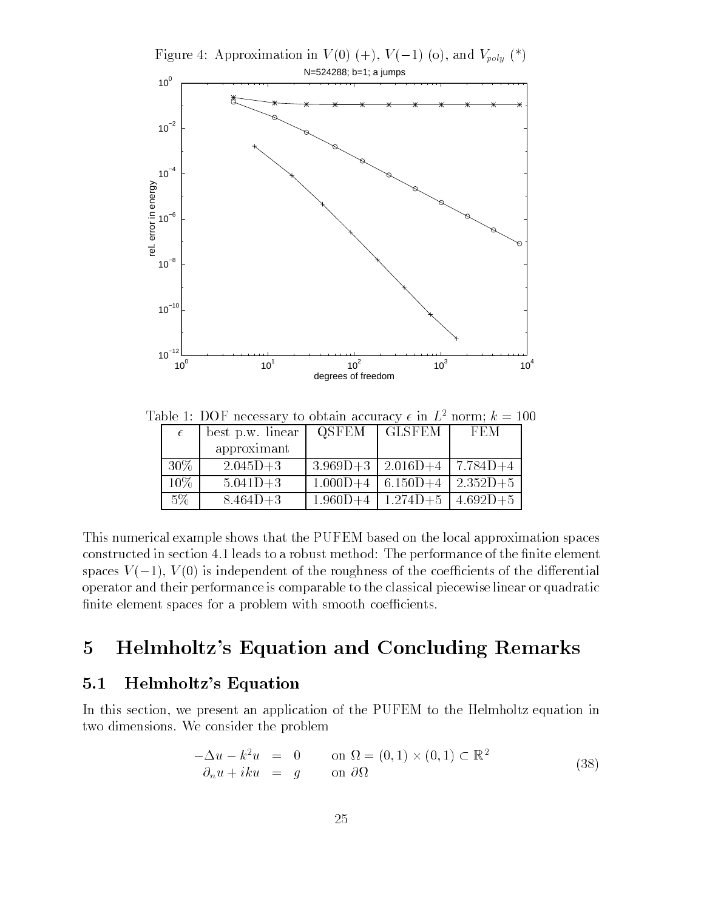Figure 4: Approximation in  $V(0)$  (+),  $V(-1)$  (o), and  $V_{poly}$  (\*) N=524288; b=1; a jumps  $10<sup>0</sup>$  $10^{-2}$  $10^{-4}$ rel. error in energy rel. error in energy  $10^{-6}$  $10^{-8}$  $10^{-10}$  $10^{-12}$  10<sup>0</sup> 10<sup>1</sup> 10<sup>2</sup> 10<sup>3</sup> 10<sup>4</sup> degrees of freedom

| $\epsilon$ | best p.w. linear | <b>QSFEM</b> | <b>GLSFEM</b>                        | FEM          |
|------------|------------------|--------------|--------------------------------------|--------------|
|            | approximant      |              |                                      |              |
| $30\%$     | $2.045D + 3$     |              | $3.969D+3$   $2.016D+4$              | $  7.784D+4$ |
| $10\%$     | $5.041D + 3$     | $1.000D + 4$ | $6.150D+4$                           | $2.352D+5$   |
| $5\%$      | $8.464D+3$       |              | $1.960D+4$   $1.274D+5$   $4.692D+5$ |              |

Table 1: DOF necessary to obtain accuracy  $\epsilon$  in  $L^2$  norm;  $k = 100$ 

This numerical example shows that the PUFEM based on the local approximation spaces constructed in section 4.1 leads to a robust method: The performance of the finite element spaces  $V(-1)$ ,  $V(0)$  is independent of the roughness of the coefficients of the differential operator and their performance is comparable to the classical piecewise linear or quadratic finite element spaces for a problem with smooth coefficients.

## 5 Helmholtz's Equation and Concluding Remarks

## $5.1$ Helmholtz's Equation

In this section, we present an application of the PUFEM to the Helmholtz equation in two dimensions. We consider the problem

$$
-\Delta u - k^2 u = 0 \qquad \text{on } \Omega = (0, 1) \times (0, 1) \subset \mathbb{R}^2
$$
  
\n
$$
\partial_n u + iku = g \qquad \text{on } \partial\Omega \qquad (38)
$$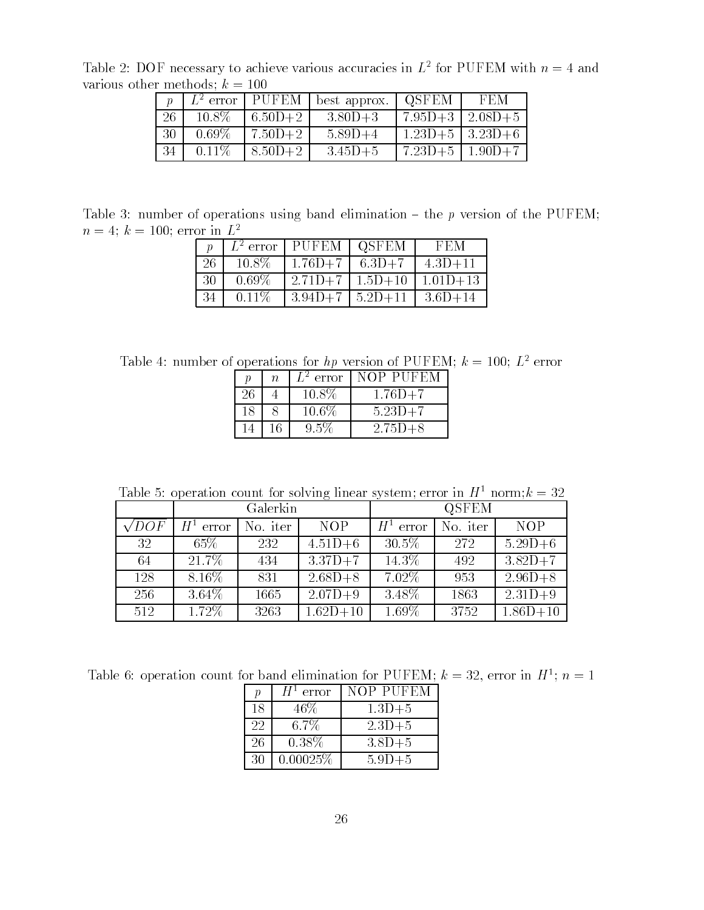Table 2: DOF necessary to achieve various accuracies in  $L^-$  for PUFEM with  $n = 4$  and various other methods;  $k = 100$ 

|                 |          | $L^2$ error   PUFEM | best approx. | 1 OSFEM               | FEM          |
|-----------------|----------|---------------------|--------------|-----------------------|--------------|
| 26              | $10.8\%$ | $6.50D+2$           | $3.80D + 3$  | $7.95D + 3$           | $12.08D + 5$ |
| 30 <sup>°</sup> | $0.69\%$ | $7.50D+2$           | $5.89D+4$    | $1.23D+5$   $3.23D+6$ |              |
| 34              | $0.11\%$ | $8.50D+2$           | $3.45D+5$    | $7.23D+5$             | $1.90D + 7$  |

Table 3: number of operations using band elimination  $-$  the p version of the PUFEM;  $n = 4$ ;  $\kappa = 100$ ; error in  $L^-$ 

|    |          | $L^2$ error   PUFEM   QSFEM | FEM                 |
|----|----------|-----------------------------|---------------------|
| 26 | $10.8\%$ | $1.76D+7$ 6.3D+7            | $4.3D + 11$         |
| 30 | $0.69\%$ | $12.71D+7$   $1.5D+10$      | $1.01D+13$          |
| 34 | $0.11\%$ | $3.94D+7$   $5.2D+11$       | $1 \cdot 3.6D + 14$ |

Table 4: number of operations for hp version of PUFEM;  $k = 100$ ;  $L^2$  error

| п  | $\overline{n}$ | $L^2$ error | <b>NOP PUFEM</b> |  |
|----|----------------|-------------|------------------|--|
| 26 |                | 10.8%       | $1.76D + 7$      |  |
| 18 |                | $10.6\%$    | $5.23D + 7$      |  |
|    |                | $9.5\%$     | $2.75D + 8$      |  |

Table 5: operation count for solving linear system; error in  $H^1$  norm;  $k = 32$ 

|              |             | Galerkin |             |                    | QSFEM    |              |
|--------------|-------------|----------|-------------|--------------------|----------|--------------|
| $\sqrt{DOF}$ | $H^1$ error | No. iter | <b>NOP</b>  | $H^{\pm}$<br>error | No. iter | <b>NOP</b>   |
| 32           | $65\%$      | 232      | $4.51D + 6$ | $30.5\%$           | 272      | $5.29D + 6$  |
| 64           | 21.7%       | 434      | $3.37D+7$   | 14.3\%             | 492      | $3.82D+7$    |
| 128          | $8.16\%$    | 831      | $2.68D + 8$ | $7.02\%$           | 953      | $2.96D + 8$  |
| 256          | $3.64\%$    | 1665     | $2.07D + 9$ | 3.48%              | 1863     | $2.31D+9$    |
| 512          | 1.72%       | 3263     | $1.62D+10$  | 1.69%              | 3752     | $1.86D + 10$ |

Table 0. Operation count for band emmination for PUFEM;  $\kappa = 32$ , error in  $\pi^+$ ;  $n = 1$ 

| $\boldsymbol{v}$ | $H^1$ error | NOP PUFEM  |
|------------------|-------------|------------|
| 18               | 46\%        | $1.3D + 5$ |
| 22               | $6.7\%$     | $2.3D + 5$ |
| 26               | $0.38\%$    | $3.8D + 5$ |
| 30               | 0.00025%    | $5.9D + 5$ |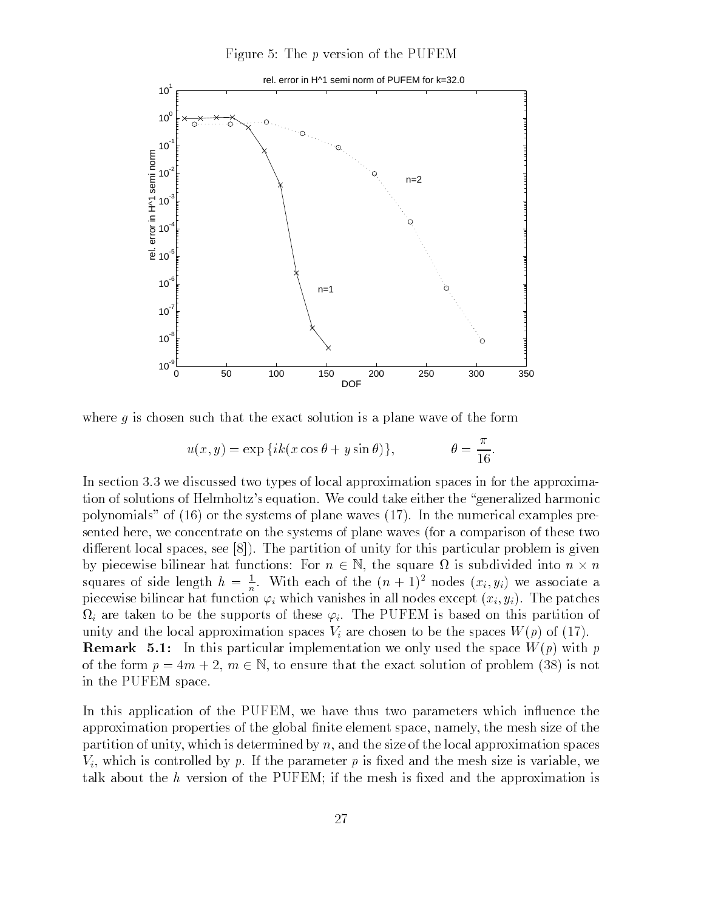Figure 5: The  $p$  version of the PUFEM



where  $q$  is chosen such that the exact solution is a plane wave of the form

$$
u(x,y) = \exp\{ik(x\cos\theta + y\sin\theta)\}, \qquad \theta = \frac{\pi}{16}.
$$

In section  $3.3$  we discussed two types of local approximation spaces in for the approximation of solutions of Helmholtz's equation. We could take either the "generalized harmonic polynomials" of  $(16)$  or the systems of plane waves  $(17)$ . In the numerical examples presented here, we concentrate on the systems of plane waves (for a comparison of these two different local spaces, see  $[8]$ ). The partition of unity for this particular problem is given by piecewise bilinear hat functions: For  $n \in \mathbb{N}$ , the square  $\Omega$  is subdivided into  $n \times n$ squares of side length  $h = \frac{1}{n}$ . With each of the  $(n + 1)$  hodes  $(x_i, y_i)$  we associate a piecewise bilinear hat function  $\varphi_i$  which vanishes in all nodes except  $(x_i, y_i)$ . The patches  $\Omega_i$  are taken to be the supports of these  $\varphi_i$ . The PUFEM is based on this partition of unity and the local approximation spaces  $V_i$  are chosen to be the spaces  $W(p)$  of (17). **Remark 5.1:** In this particular implementation we only used the space  $W(p)$  with p of the form  $p = 4m + 2$ ,  $m \in \mathbb{N}$ , to ensure that the exact solution of problem (38) is not in the PUFEM space

In this application of the PUFEM, we have thus two parameters which influence the approximation properties of the global finite element space, namely, the mesh size of the partition of unity, which is determined by  $n$ , and the size of the local approximation spaces  $V_i$ , which is controlled by p. If the parameter p is fixed and the mesh size is variable, we talk about the  $h$  version of the PUFEM; if the mesh is fixed and the approximation is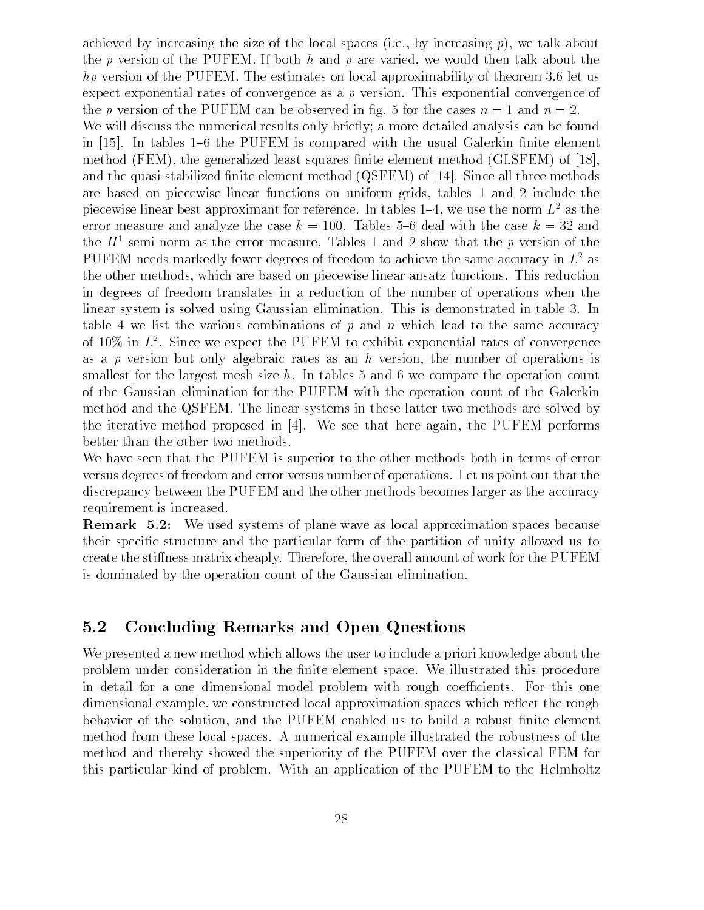achieved by increasing the size of the local spaces (i.e., by increasing  $p$ ), we talk about the p version of the PUFEM. If both h and p are varied, we would then talk about the hp version of the PUFFEM The continues on a power upproximately of theorem als to the use expect exponential rates of convergence as a <sup>p</sup> version This exponential convergence of the p version of the PUFEM can be observed in  $\mathbf{F}$  , where  $\mathbf{F}$  are not not in  $\mathbf{F}$ We will discuss the numerical results only briefly; a more detailed analysis can be found in  $[15]$ . In tables 1–6 the PUFEM is compared with the usual Galerkin finite element method (FEM), the generalized least squares finite element method (GLSFEM) of  $[18]$ , and the quasi-stabilized finite element method  $(QSFEM)$  of  $[14]$ . Since all three methods are based on piecewise dimensions includes in uniformly there is united and uniform the the piecewise linear best approximant for reference. In tables  $1-4$ , we use the norm  $L^2$  as the error measure and analyze the case  $\kappa$  . Then reserve a clear hear the case  $\kappa$  ,  $\sigma$  and the  $H^+$  semi-norm as the error measure. Tables I and 2 show that the  $p$  version of the  $\blacksquare$ PUFEM needs markedly fewer degrees of freedom to achieve the same accuracy in  $L^2$  as the other methods which are based on piecewise linear ansatz functions This reduction in degrees of freedom translates in a reduction of the number of operations when the linear system is solved using Gaussian elimination. This is demonstrated in table 3. In table 4 we list the various combinations of p and n which lead to the same accuracy of 10% in  $L^{\tau}$ . Since we expect the PUFEM to exhibit exponential rates of convergence as a p version but only algebraic rates as an h version, the number of operations is smallest for the largest mesh size  $h$ . In tables 5 and 6 we compare the operation count of the Gaussian elimination for the PUFEM with the operation count of the Galerkin method and the QSFEM. The linear systems in these latter two methods are solved by the iterative method proposed in  $[4]$ . We see that here again, the PUFEM performs better than the other two methods

We have seen that the PUFEM is superior to the other methods both in terms of error versus degrees of freedom and error versus number of operations Let us point out that the discrepancy between the PUFEM and the other methods becomes larger as the accuracy requirement is increased

**Remark 5.2:** We used systems of plane wave as local approximation spaces because their specic structure and the particular form of the partition of unity allowed us to create the sti
ness matrix cheaply Therefore the overall amount of work for the PUFEM is dominated by the operation count of the Gaussian elimination

## 5.2 Concluding Remarks and Open Questions

We presented a new method which allows the user to include a priori knowledge about the problem under consideration in the finite element space. We illustrated this procedure in detail for a one dimensional model problem with rough coefficients. For this one dimensional example, we constructed local approximation spaces which reflect the rough behavior of the solution, and the PUFEM enabled us to build a robust finite element method from these local spaces A numerical example illustrated the robustness of the method and thereby showed the superiority of the PUFEM over the classical FEM for this particular kind of problem. With an application of the PUFEM to the Helmholtz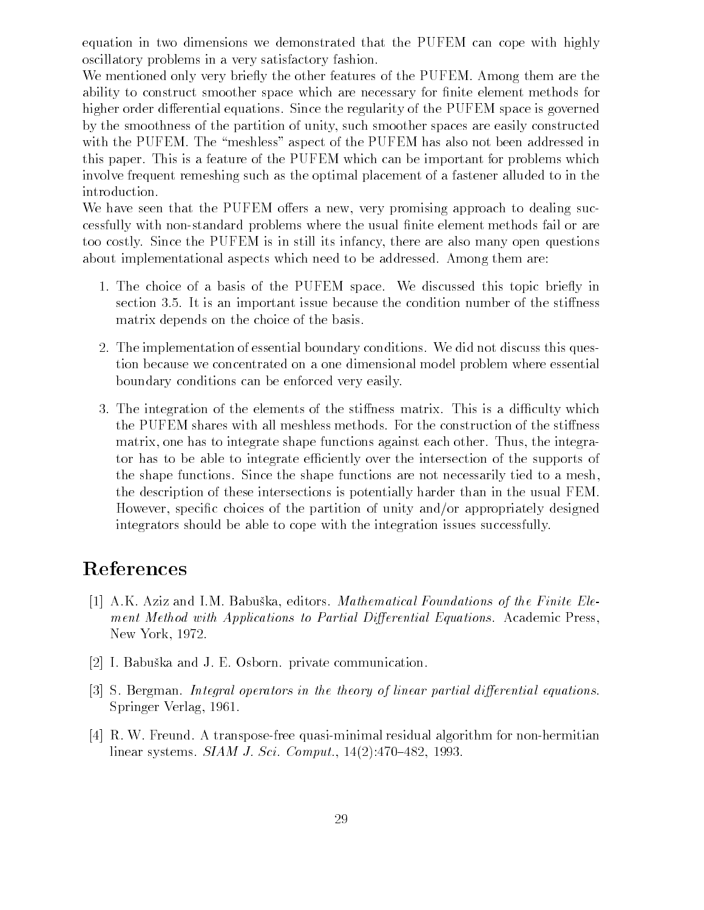equation in two dimensions we demonstrated that the PUFEM can cope with highly oscillatory problems in a very satisfactory fashion

We mentioned only very briefly the other features of the PUFEM. Among them are the ability to construct smoother space which are necessary for finite element methods for higher order differential equations. Since the regularity of the PUFEM space is governed by the smoothness of the partition of unity, such smoother spaces are easily constructed with the PUFEM. The "meshless" aspect of the PUFEM has also not been addressed in this paper. This is a feature of the PUFEM which can be important for problems which involve frequent remeshing such as the optimal placement of a fastener alluded to in the

We have seen that the PUFEM offers a new, very promising approach to dealing successfully with non-standard problems where the usual finite element methods fail or are too costly Since the PUFEM is in still its infancy there are also many open questions about implementational aspects which need to be addressed. Among them are:

- 1. The choice of a basis of the PUFEM space. We discussed this topic briefly in section 3.5. It is an important issue because the condition number of the stiffness matrix depends on the choice of the basis
- The implementation of essential boundary conditions We did not discuss this ques tion because we concentrated on a one dimensional model problem where essential boundary conditions can be enforced very easily
- 3. The integration of the elements of the stiffness matrix. This is a difficulty which the PUFEM shares with all meshless methods. For the construction of the stiffness matrix, one has to integrate shape functions against each other. Thus, the integrator has to be able to integrate efficiently over the intersection of the supports of the shape functions Since the shape functions are not necessarily tied to a mesh the description of these intersections is potentially harder than in the usual FEM However, specific choices of the partition of unity and/or appropriately designed integrators should be able to cope with the integration issues successfully

## References

- ak asis and Imperial Foundation and Imperial Foundations of the Finite Electric Electric Electric Electric Ele ment Method with Applications to Partial Differential Equations. Academic Press, New York and the second control of the second control of the second control of the second control of the second
- , and and the state communication private communications and the state communications of the state of the state of the state of the state of the state of the state of the state of the state of the state of the state of the
- $[3]$  S. Bergman. Integral operators in the theory of linear partial differential equations. Springer Verlag
- $[4]$  R. W. Freund. A transpose-free quasi-minimal residual algorithm for non-hermitian linear systems SIAM J- Sci- Comput-